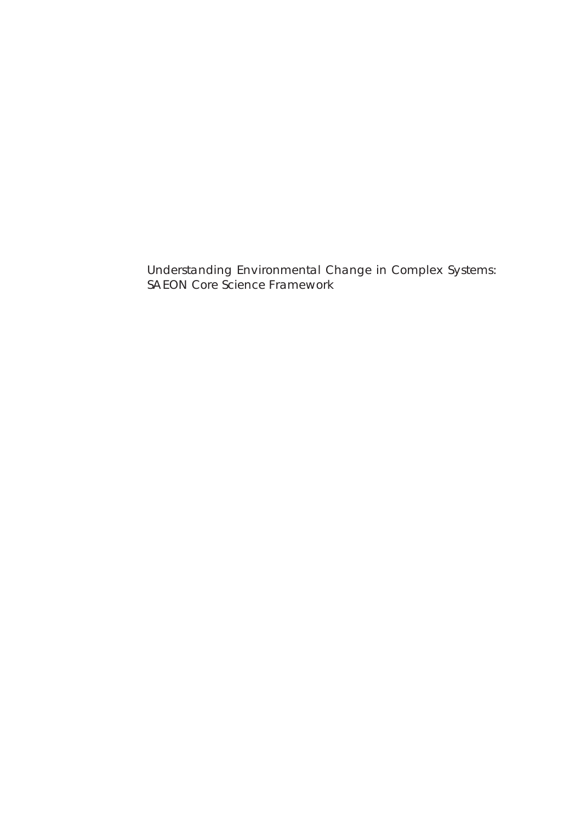Understanding Environmental Change in Complex Systems: SAEON Core Science Framework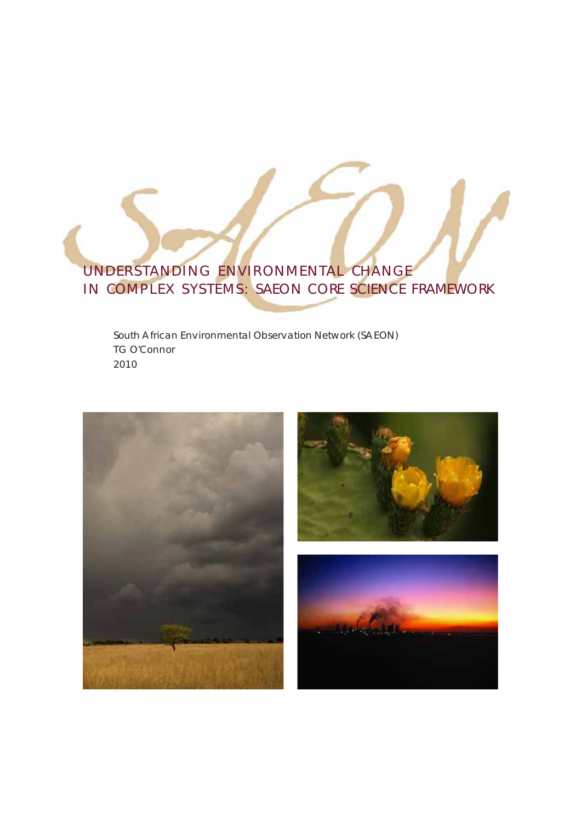# UNDERSTANDING ENVIRONMENTAL CHANGE IN COMPLEX SYSTEMS: SAEON CORE SCIENCE FRAMEWORK

South African Environmental Observation Network (SAEON) TG O'Connor 2010

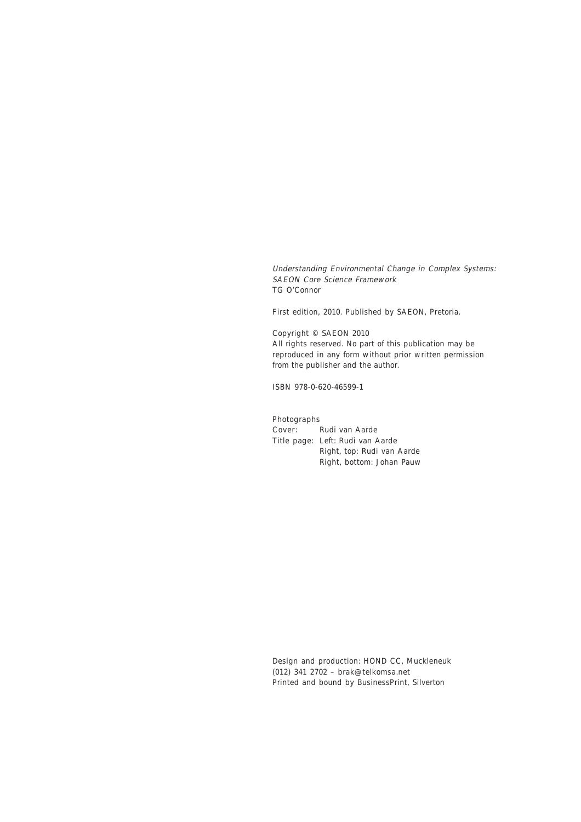Understanding Environmental Change in Complex Systems: SAEON Core Science Framework TG O'Connor

First edition, 2010. Published by SAEON, Pretoria.

Copyright © SAEON 2010 All rights reserved. No part of this publication may be reproduced in any form without prior written permission from the publisher and the author.

ISBN 978-0-620-46599-1

Photographs Cover: Rudi van Aarde

Title page: Left: Rudi van Aarde Right, top: Rudi van Aarde Right, bottom: Johan Pauw

Design and production: HOND CC, Muckleneuk (012) 341 2702 – brak@telkomsa.net Printed and bound by BusinessPrint, Silverton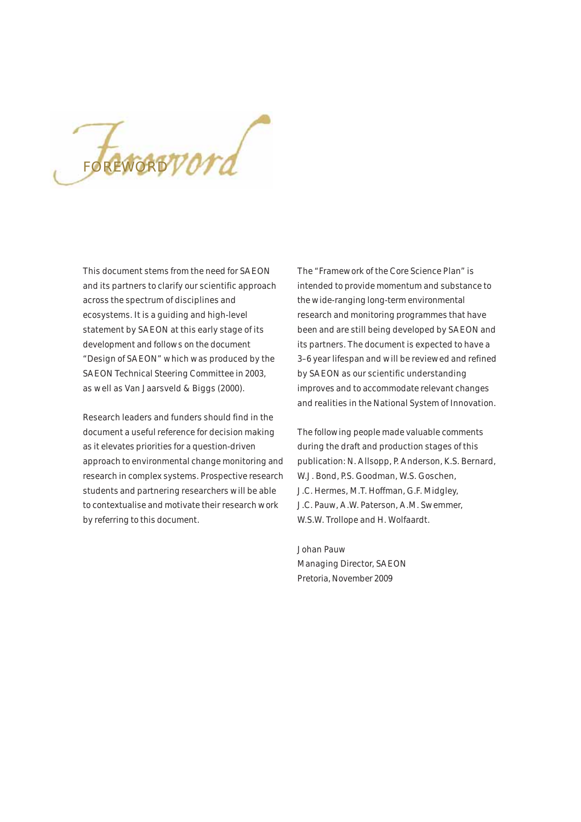FOREWORDPOTA

This document stems from the need for SAEON and its partners to clarify our scientific approach across the spectrum of disciplines and ecosystems. It is a guiding and high-level statement by SAEON at this early stage of its development and follows on the document "Design of SAEON" which was produced by the SAEON Technical Steering Committee in 2003, as well as Van Jaarsveld & Biggs (2000).

Research leaders and funders should find in the document a useful reference for decision making as it elevates priorities for a question-driven approach to environmental change monitoring and research in complex systems. Prospective research students and partnering researchers will be able to contextualise and motivate their research work by referring to this document.

The "Framework of the Core Science Plan" is intended to provide momentum and substance to the wide-ranging long-term environmental research and monitoring programmes that have been and are still being developed by SAEON and its partners. The document is expected to have a 3–6 year lifespan and will be reviewed and refined by SAEON as our scientific understanding improves and to accommodate relevant changes and realities in the National System of Innovation.

The following people made valuable comments during the draft and production stages of this publication: N. Allsopp, P. Anderson, K.S. Bernard, W.J. Bond, P.S. Goodman, W.S. Goschen, J.C. Hermes, M.T. Hoffman, G.F. Midgley, J.C. Pauw, A.W. Paterson, A.M. Swemmer, W.S.W. Trollope and H. Wolfaardt.

Johan Pauw Managing Director, SAEON Pretoria, November 2009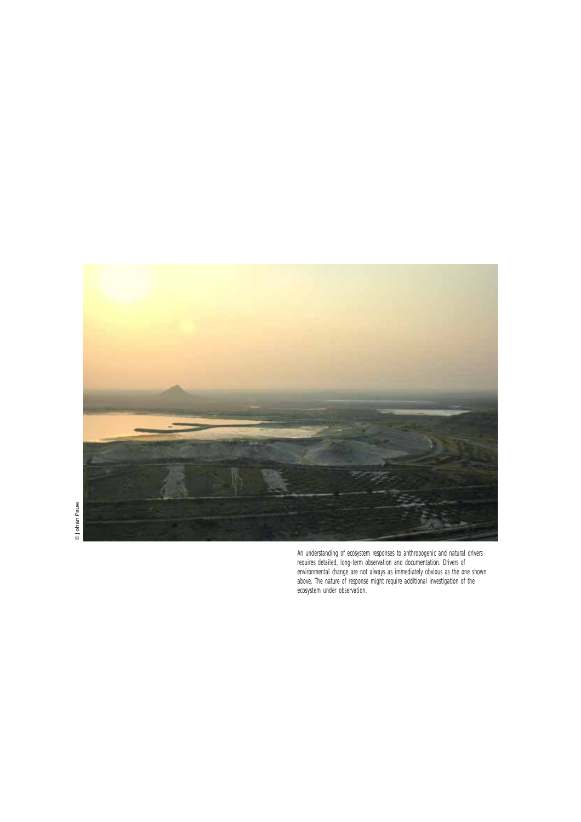

An understanding of ecosystem responses to anthropogenic and natural drivers requires detailed, long-term observation and documentation. Drivers of environmental change are not always as immediately obvious as the one shown above. The nature of response might require additional investigation of the ecosystem under observation.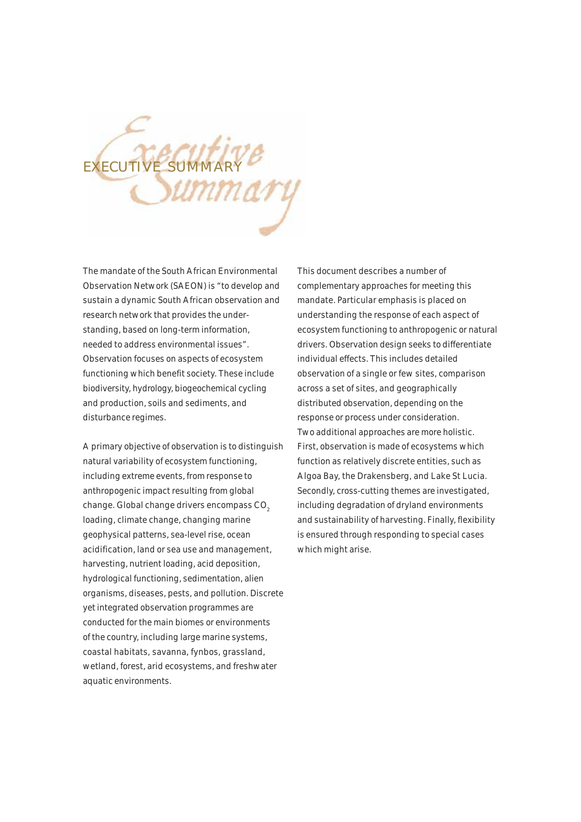

The mandate of the South African Environmental Observation Network (SAEON) is "to develop and sustain a dynamic South African observation and research network that provides the understanding, based on long-term information, needed to address environmental issues". Observation focuses on aspects of ecosystem functioning which benefit society. These include biodiversity, hydrology, biogeochemical cycling and production, soils and sediments, and disturbance regimes.

A primary objective of observation is to distinguish natural variability of ecosystem functioning, including extreme events, from response to anthropogenic impact resulting from global change. Global change drivers encompass CO<sub>2</sub> loading, climate change, changing marine geophysical patterns, sea-level rise, ocean acidification, land or sea use and management, harvesting, nutrient loading, acid deposition, hydrological functioning, sedimentation, alien organisms, diseases, pests, and pollution. Discrete yet integrated observation programmes are conducted for the main biomes or environments of the country, including large marine systems, coastal habitats, savanna, fynbos, grassland, wetland, forest, arid ecosystems, and freshwater aquatic environments.

This document describes a number of complementary approaches for meeting this mandate. Particular emphasis is placed on understanding the response of each aspect of ecosystem functioning to anthropogenic or natural drivers. Observation design seeks to differentiate individual effects. This includes detailed observation of a single or few sites, comparison across a set of sites, and geographically distributed observation, depending on the response or process under consideration. Two additional approaches are more holistic. First, observation is made of ecosystems which function as relatively discrete entities, such as Algoa Bay, the Drakensberg, and Lake St Lucia. Secondly, cross-cutting themes are investigated, including degradation of dryland environments and sustainability of harvesting. Finally, flexibility is ensured through responding to special cases which might arise.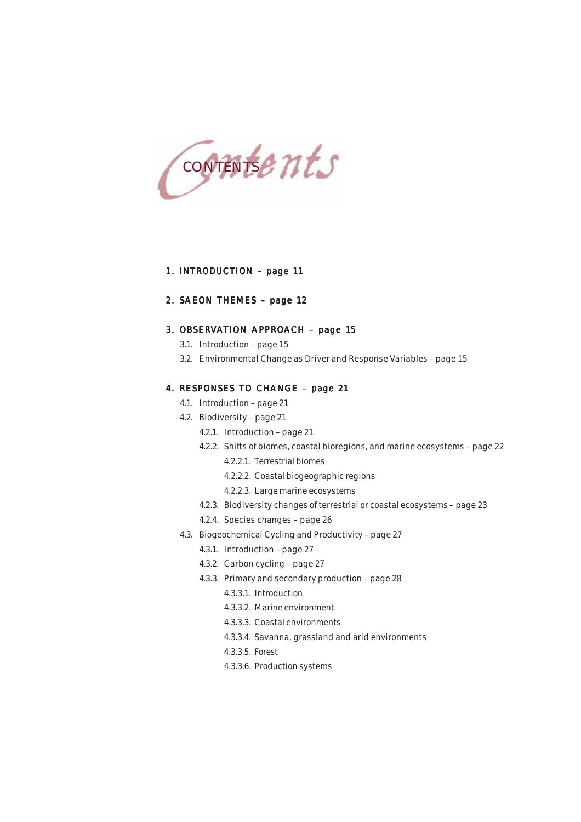

## 1. INTRODUCTION – page 11

## 2. SAEON THEMES – page 12

## 3. OBSERVATION APPROACH – page 15

- 3.1. Introduction page 15
- 3.2. Environmental Change as Driver and Response Variables page 15

### 4. RESPONSES TO CHANGE – page 21

- 4.1. Introduction page 21
- 4.2. Biodiversity page 21
	- 4.2.1. Introduction page 21
	- 4.2.2. Shifts of biomes, coastal bioregions, and marine ecosystems page 22
		- 4.2.2.1. Terrestrial biomes
		- 4.2.2.2. Coastal biogeographic regions
		- 4.2.2.3. Large marine ecosystems
	- 4.2.3. Biodiversity changes of terrestrial or coastal ecosystems page 23
	- 4.2.4. Species changes page 26
- 4.3. Biogeochemical Cycling and Productivity page 27
	- 4.3.1. Introduction page 27
	- 4.3.2. Carbon cycling page 27
	- 4.3.3. Primary and secondary production page 28
		- 4.3.3.1. Introduction
		- 4.3.3.2. Marine environment
		- 4.3.3.3. Coastal environments
		- 4.3.3.4. Savanna, grassland and arid environments
		- 4.3.3.5. Forest
		- 4.3.3.6. Production systems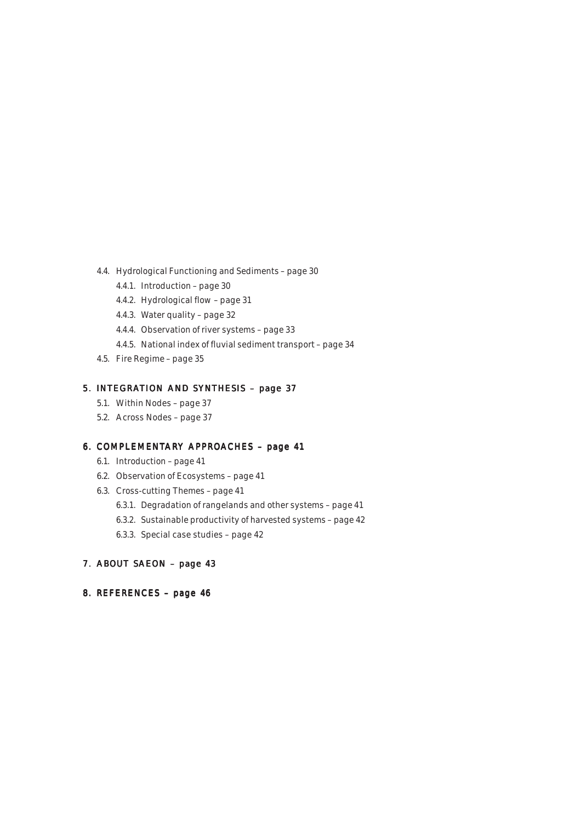- 4.4. Hydrological Functioning and Sediments page 30
	- 4.4.1. Introduction page 30
	- 4.4.2. Hydrological flow page 31
	- 4.4.3. Water quality page 32
	- 4.4.4. Observation of river systems page 33
	- 4.4.5. National index of fluvial sediment transport page 34
- 4.5. Fire Regime page 35

## 5. INTEGRATION AND SYNTHESIS – page 37

- 5.1. Within Nodes page 37
- 5.2. Across Nodes page 37

## 6. COMPLEMENTARY APPROACHES – page 41

- 6.1. Introduction page 41
- 6.2. Observation of Ecosystems page 41
- 6.3. Cross-cutting Themes page 41
	- 6.3.1. Degradation of rangelands and other systems page 41
	- 6.3.2. Sustainable productivity of harvested systems page 42
	- 6.3.3. Special case studies page 42

## 7. ABOUT SAEON – page 43

8. REFERENCES – page 46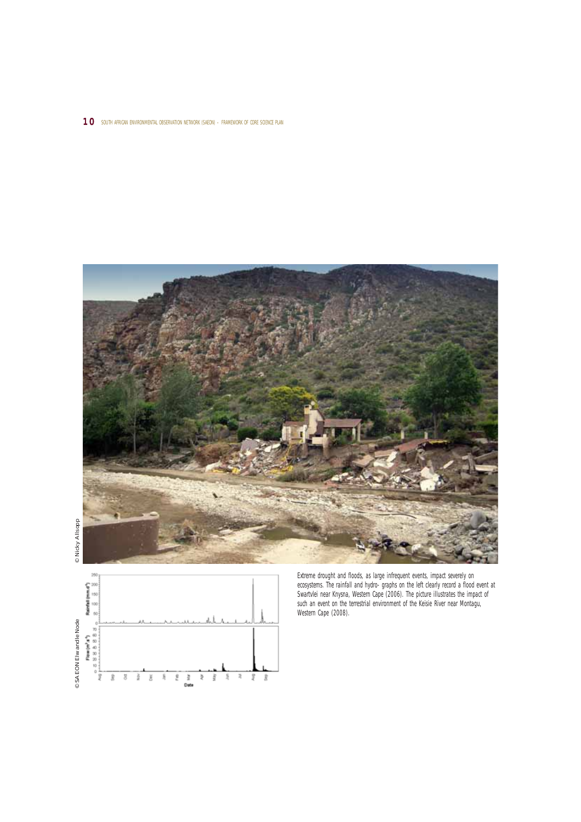#### 10 SOUTH AFRICAN ENVIRONMENTAL OBSERVATION NETWORK (SAEON) – FRAMEWORK OF CORE SCIENCE PLAN





Extreme drought and floods, as large infrequent events, impact severely on ecosystems. The rainfall and hydro- graphs on the left clearly record a flood event at Swartvlei near Knysna, Western Cape (2006). The picture illustrates the impact of such an event on the terrestrial environment of the Keisie River near Montagu, Western Cape (2008).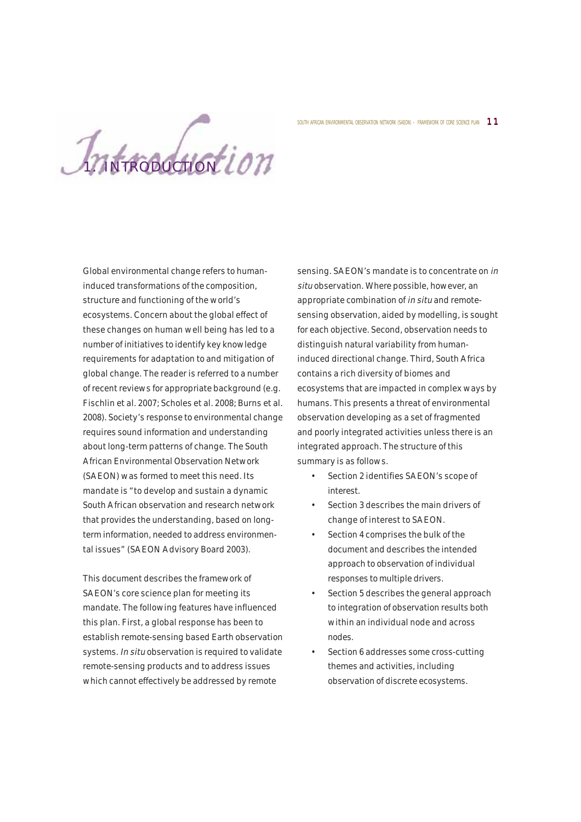Introduction ion

Global environmental change refers to humaninduced transformations of the composition, structure and functioning of the world's ecosystems. Concern about the global effect of these changes on human well being has led to a number of initiatives to identify key knowledge requirements for adaptation to and mitigation of global change. The reader is referred to a number of recent reviews for appropriate background (e.g. Fischlin et al. 2007; Scholes et al. 2008; Burns et al. 2008). Society's response to environmental change requires sound information and understanding about long-term patterns of change. The South African Environmental Observation Network (SAEON) was formed to meet this need. Its mandate is "to develop and sustain a dynamic South African observation and research network that provides the understanding, based on longterm information, needed to address environmental issues" (SAEON Advisory Board 2003).

This document describes the framework of SAEON's core science plan for meeting its mandate. The following features have influenced this plan. First, a global response has been to establish remote-sensing based Earth observation systems. In situ observation is required to validate remote-sensing products and to address issues which cannot effectively be addressed by remote

sensing. SAEON's mandate is to concentrate on in situ observation. Where possible, however, an appropriate combination of in situ and remotesensing observation, aided by modelling, is sought for each objective. Second, observation needs to distinguish natural variability from humaninduced directional change. Third, South Africa contains a rich diversity of biomes and ecosystems that are impacted in complex ways by humans. This presents a threat of environmental observation developing as a set of fragmented and poorly integrated activities unless there is an integrated approach. The structure of this summary is as follows.

SOUTH AFRICAN ENVIRONMENTAL OBSERVATION NETWORK (SAEON) - FRAMEWORK OF CORE SCIENCE PLAN  $\,\,1$   $\,1$ 

- Section 2 identifies SAEON's scope of interest.
- Section 3 describes the main drivers of change of interest to SAEON.
- Section 4 comprises the bulk of the document and describes the intended approach to observation of individual responses to multiple drivers.
- Section 5 describes the general approach to integration of observation results both within an individual node and across nodes.
- Section 6 addresses some cross-cutting themes and activities, including observation of discrete ecosystems.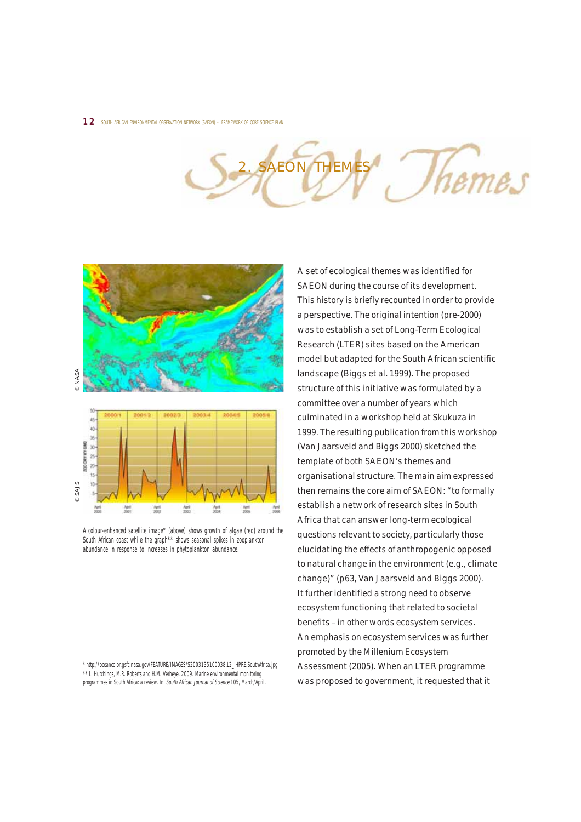THEME hemes



A colour-enhanced satellite image\* (above) shows growth of algae (red) around the South African coast while the graph<sup>\*\*</sup> shows seasonal spikes in zooplankton abundance in response to increases in phytoplankton abundance.

\* http://oceancolor.gsfc.nasa.gov/FEATURE/IMAGES/S2003135100038.L2\_HPRE.SouthAfrica.jpg \*\* L. Hutchings, M.R. Roberts and H.M. Verheye. 2009. Marine environmental monitoring programmes in South Africa: a review. In: South African Journal of Science 105, March/April.

A set of ecological themes was identified for SAEON during the course of its development. This history is briefly recounted in order to provide a perspective. The original intention (pre-2000) was to establish a set of Long-Term Ecological Research (LTER) sites based on the American model but adapted for the South African scientific landscape (Biggs et al. 1999). The proposed structure of this initiative was formulated by a committee over a number of years which culminated in a workshop held at Skukuza in 1999. The resulting publication from this workshop (Van Jaarsveld and Biggs 2000) sketched the template of both SAEON's themes and organisational structure. The main aim expressed then remains the core aim of SAEON: "to formally establish a network of research sites in South Africa that can answer long-term ecological questions relevant to society, particularly those elucidating the effects of anthropogenic opposed to natural change in the environment (e.g., climate change)" (p63, Van Jaarsveld and Biggs 2000). It further identified a strong need to observe ecosystem functioning that related to societal benefits – in other words ecosystem services. An emphasis on ecosystem services was further promoted by the Millenium Ecosystem Assessment (2005). When an LTER programme was proposed to government, it requested that it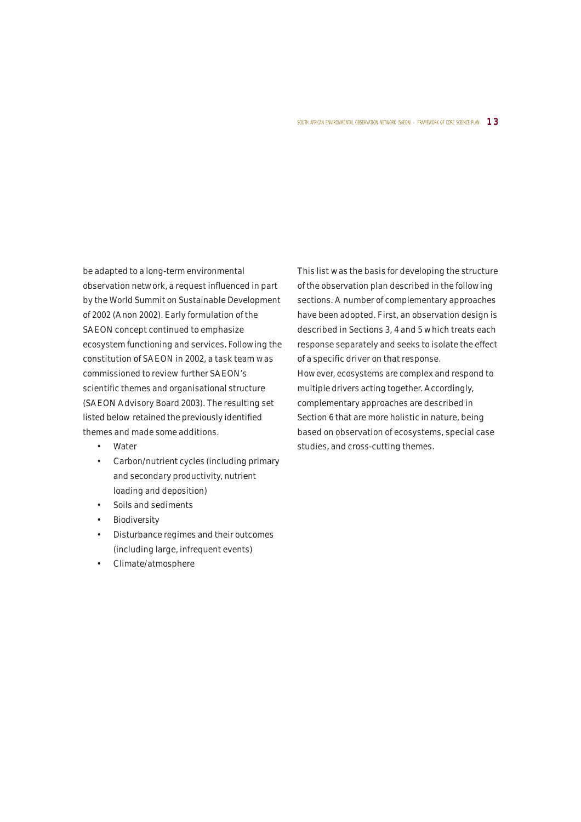#### SOUTH AFRICAN ENVIRONMENTAL OBSERVATION NETWORK (SAEON) – FRAMEWORK OF CORE SCIENCE PLAN  $\,\,1\,3$

be adapted to a long-term environmental observation network, a request influenced in part by the World Summit on Sustainable Development of 2002 (Anon 2002). Early formulation of the SAEON concept continued to emphasize ecosystem functioning and services. Following the constitution of SAEON in 2002, a task team was commissioned to review further SAEON's scientific themes and organisational structure (SAEON Advisory Board 2003). The resulting set listed below retained the previously identified themes and made some additions.

- Water
- Carbon/nutrient cycles (including primary and secondary productivity, nutrient loading and deposition)
- Soils and sediments
- **Biodiversity**
- Disturbance regimes and their outcomes (including large, infrequent events)
- Climate/atmosphere

This list was the basis for developing the structure of the observation plan described in the following sections. A number of complementary approaches have been adopted. First, an observation design is described in Sections 3, 4 and 5 which treats each response separately and seeks to isolate the effect of a specific driver on that response. However, ecosystems are complex and respond to multiple drivers acting together. Accordingly, complementary approaches are described in Section 6 that are more holistic in nature, being based on observation of ecosystems, special case studies, and cross-cutting themes.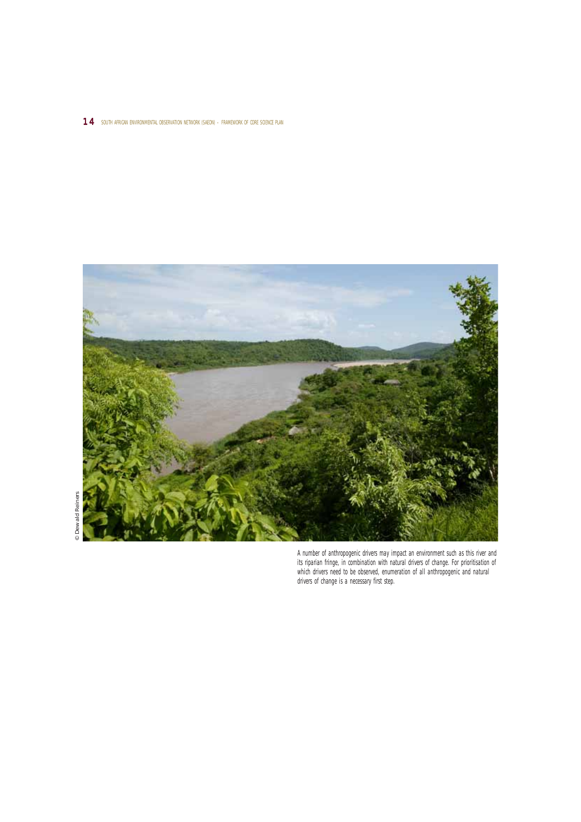## 14 SOUTH AFRICAN ENVIRONMENTAL OBSERVATION NETWORK (SAEON) - FRAMEWORK OF CORE SCIENCE PLAN



A number of anthropogenic drivers may impact an environment such as this river and its riparian fringe, in combination with natural drivers of change. For prioritisation of which drivers need to be observed, enumeration of all anthropogenic and natural drivers of change is a necessary first step.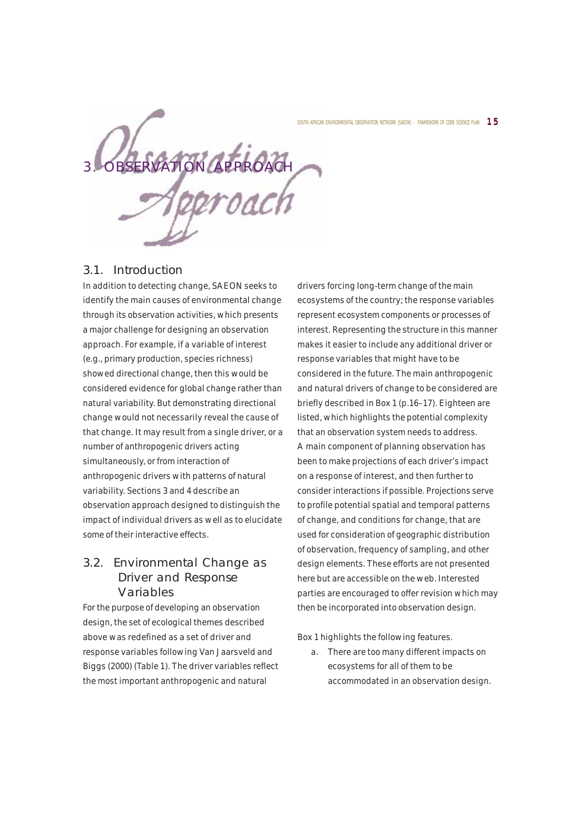RVATION APPROACH

## 3.1. Introduction

In addition to detecting change, SAEON seeks to identify the main causes of environmental change through its observation activities, which presents a major challenge for designing an observation approach. For example, if a variable of interest (e.g., primary production, species richness) showed directional change, then this would be considered evidence for global change rather than natural variability. But demonstrating directional change would not necessarily reveal the cause of that change. It may result from a single driver, or a number of anthropogenic drivers acting simultaneously, or from interaction of anthropogenic drivers with patterns of natural variability. Sections 3 and 4 describe an observation approach designed to distinguish the impact of individual drivers as well as to elucidate some of their interactive effects.

## 3.2. Environmental Change as Driver and Response Variables

For the purpose of developing an observation design, the set of ecological themes described above was redefined as a set of driver and response variables following Van Jaarsveld and Biggs (2000) (Table 1). The driver variables reflect the most important anthropogenic and natural

drivers forcing long-term change of the main ecosystems of the country; the response variables represent ecosystem components or processes of interest. Representing the structure in this manner makes it easier to include any additional driver or response variables that might have to be considered in the future. The main anthropogenic and natural drivers of change to be considered are briefly described in Box 1 (p.16–17). Eighteen are listed, which highlights the potential complexity that an observation system needs to address. A main component of planning observation has been to make projections of each driver's impact on a response of interest, and then further to consider interactions if possible. Projections serve to profile potential spatial and temporal patterns of change, and conditions for change, that are used for consideration of geographic distribution of observation, frequency of sampling, and other design elements. These efforts are not presented here but are accessible on the web. Interested parties are encouraged to offer revision which may then be incorporated into observation design.

Box 1 highlights the following features.

a. There are too many different impacts on ecosystems for all of them to be accommodated in an observation design.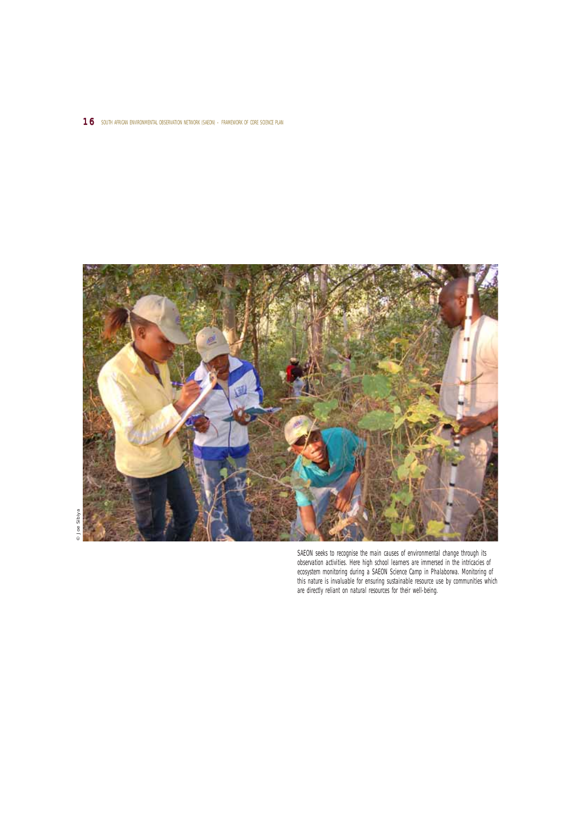#### 16 SOUTH AFRICAN ENVIRONMENTAL OBSERVATION NETWORK (SAEON) – FRAMEWORK OF CORE SCIENCE PLAN



SAEON seeks to recognise the main causes of environmental change through its observation activities. Here high school learners are immersed in the intricacies of ecosystem monitoring during a SAEON Science Camp in Phalaborwa. Monitoring of this nature is invaluable for ensuring sustainable resource use by communities which are directly reliant on natural resources for their well-being.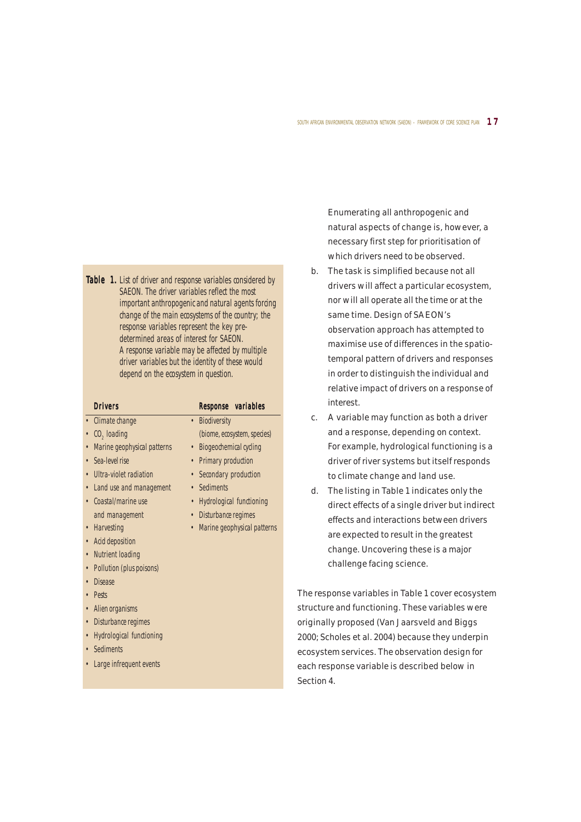#### SOUTH AFRICAN ENVIRONMENTAL OBSERVATION NETWORK (SAEON) – FRAMEWORK OF CORE SCIENCE PLAN  $\quad$   $\bf 1$   $\bf 7$

Table 1. List of driver and response variables considered by SAEON. The driver variables reflect the most important anthropogenic and natural agents forcing change of the main ecosystems of the country; the response variables represent the key predetermined areas of interest for SAEON. A response variable may be affected by multiple driver variables but the identity of these would depend on the ecosystem in question.

| <b>Drivers</b>                       | Response variables                           |
|--------------------------------------|----------------------------------------------|
| Climate change                       | <b>Biodiversity</b><br>$\bullet$             |
| $CO2$ loading                        | (biome, ecosystem, species)                  |
| Marine geophysical patterns          | <b>Biogeochemical cycling</b><br>$\bullet$   |
| Sea-level rise                       | <b>Primary production</b><br>$\bullet$       |
| Ultra-violet radiation               | Secondary production<br>$\bullet$            |
| Land use and management              | • Sediments                                  |
| • Coastal/marine use                 | <b>Hydrological functioning</b><br>$\bullet$ |
| and management                       | • Disturbance regimes                        |
| • Harvesting                         | Marine geophysical patterns                  |
| • Acid deposition                    |                                              |
| <b>Nutrient loading</b><br>$\bullet$ |                                              |
| Pollution (plus poisons)             |                                              |
| <b>Disease</b>                       |                                              |
| Pests                                |                                              |
| Alien organisms                      |                                              |
| Disturbance regimes<br>$\bullet$     |                                              |
| <b>Hydrological functioning</b>      |                                              |
| Sediments                            |                                              |
| • Large infrequent events            |                                              |

Enumerating all anthropogenic and natural aspects of change is, however, a necessary first step for prioritisation of which drivers need to be observed.

- b. The task is simplified because not all drivers will affect a particular ecosystem, nor will all operate all the time or at the same time. Design of SAEON's observation approach has attempted to maximise use of differences in the spatiotemporal pattern of drivers and responses in order to distinguish the individual and relative impact of drivers on a response of interest.
- c. A variable may function as both a driver and a response, depending on context. For example, hydrological functioning is a driver of river systems but itself responds to climate change and land use.
- d. The listing in Table 1 indicates only the direct effects of a single driver but indirect effects and interactions between drivers are expected to result in the greatest change. Uncovering these is a major challenge facing science.

The response variables in Table 1 cover ecosystem structure and functioning. These variables were originally proposed (Van Jaarsveld and Biggs 2000; Scholes et al. 2004) because they underpin ecosystem services. The observation design for each response variable is described below in Section 4.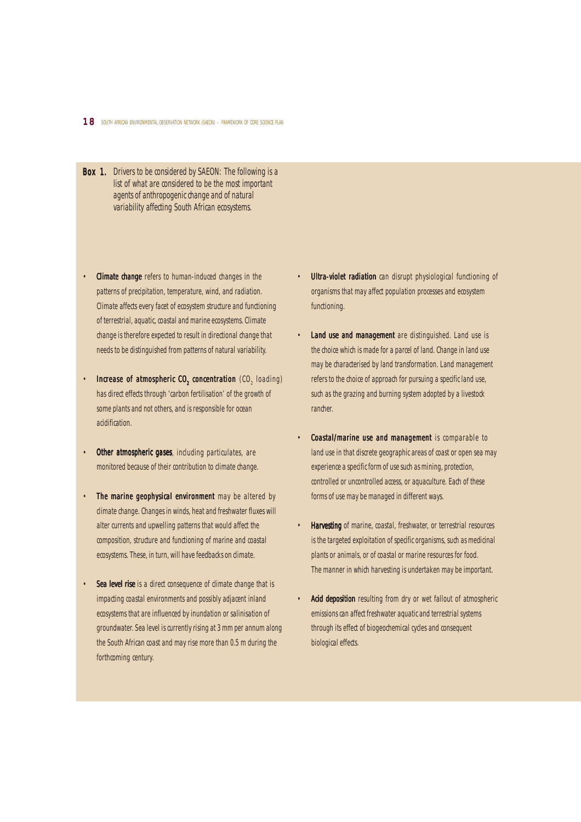- Box 1. Drivers to be considered by SAEON: The following is a list of what are considered to be the most important agents of anthropogenic change and of natural variability affecting South African ecosystems.
- **Climate change** refers to human-induced changes in the patterns of precipitation, temperature, wind, and radiation. Climate affects every facet of ecosystem structure and functioning of terrestrial, aquatic, coastal and marine ecosystems. Climate change is therefore expected to result in directional change that needs to be distinguished from patterns of natural variability.
- Increase of atmospheric  $CO<sub>2</sub>$  concentration (CO<sub>2</sub> loading) has direct effects through 'carbon fertilisation' of the growth of some plants and not others, and is responsible for ocean acidification.
- Other atmospheric gases, including particulates, are monitored because of their contribution to climate change.
- The marine geophysical environment may be altered by climate change. Changes in winds, heat and freshwater fluxes will alter currents and upwelling patterns that would affect the composition, structure and functioning of marine and coastal ecosystems. These, in turn, will have feedbacks on climate.
- **Sea level rise** is a direct consequence of climate change that is impacting coastal environments and possibly adjacent inland ecosystems that are influenced by inundation or salinisation of groundwater. Sea level is currently rising at 3 mm per annum along the South African coast and may rise more than 0.5 m during the forthcoming century.
- **Ultra-violet radiation** can disrupt physiological functioning of organisms that may affect population processes and ecosystem functioning.
- Land use and management are distinguished. Land use is the choice which is made for a parcel of land. Change in land use may be characterised by land transformation. Land management refers to the choice of approach for pursuing a specific land use, such as the grazing and burning system adopted by a livestock rancher.
- **Coastal/marine use and management** is comparable to land use in that discrete geographic areas of coast or open sea may experience a specific form of use such as mining, protection, controlled or uncontrolled access, or aquaculture. Each of these forms of use may be managed in different ways.
- Harvesting of marine, coastal, freshwater, or terrestrial resources is the targeted exploitation of specific organisms, such as medicinal plants or animals, or of coastal or marine resources for food. The manner in which harvesting is undertaken may be important.
- Acid deposition resulting from dry or wet fallout of atmospheric emissions can affect freshwater aquatic and terrestrial systems through its effect of biogeochemical cycles and consequent biological effects.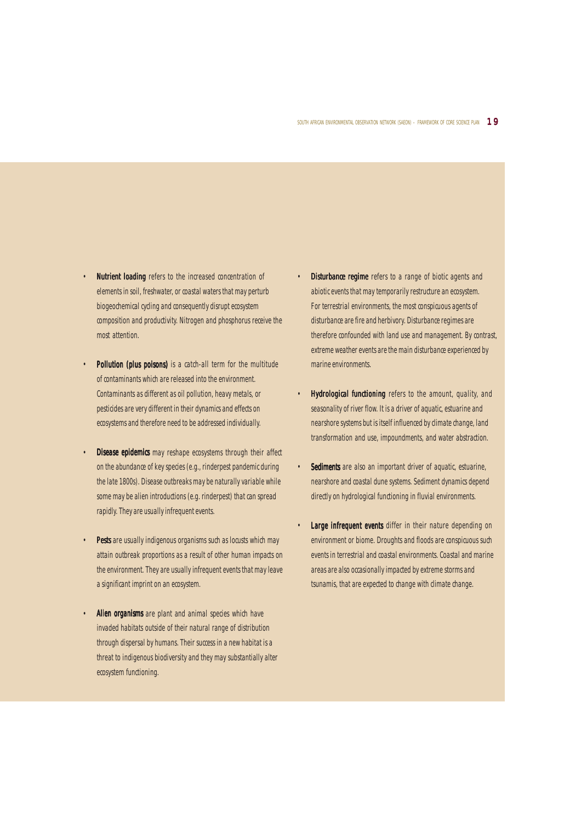- **Nutrient loading** refers to the increased concentration of elements in soil, freshwater, or coastal waters that may perturb biogeochemical cycling and consequently disrupt ecosystem composition and productivity. Nitrogen and phosphorus receive the most attention.
- **Pollution (plus poisons)** is a catch-all term for the multitude of contaminants which are released into the environment. Contaminants as different as oil pollution, heavy metals, or pesticides are very different in their dynamics and effects on ecosystems and therefore need to be addressed individually.
- Disease epidemics may reshape ecosystems through their affect on the abundance of key species (e.g., rinderpest pandemic during the late 1800s). Disease outbreaks may be naturally variable while some may be alien introductions (e.g. rinderpest) that can spread rapidly. They are usually infrequent events.
- **Pests** are usually indigenous organisms such as locusts which may attain outbreak proportions as a result of other human impacts on the environment. They are usually infrequent events that may leave a significant imprint on an ecosystem.
- Alien organisms are plant and animal species which have invaded habitats outside of their natural range of distribution through dispersal by humans. Their success in a new habitat is a threat to indigenous biodiversity and they may substantially alter ecosystem functioning.
- **Disturbance regime** refers to a range of biotic agents and abiotic events that may temporarily restructure an ecosystem. For terrestrial environments, the most conspicuous agents of disturbance are fire and herbivory. Disturbance regimes are therefore confounded with land use and management. By contrast, extreme weather events are the main disturbance experienced by marine environments.
- Hydrological functioning refers to the amount, quality, and seasonality of river flow. It is a driver of aquatic, estuarine and nearshore systems but is itself influenced by climate change, land transformation and use, impoundments, and water abstraction.
- Sediments are also an important driver of aquatic, estuarine, nearshore and coastal dune systems. Sediment dynamics depend directly on hydrological functioning in fluvial environments.
- Large infrequent events differ in their nature depending on environment or biome. Droughts and floods are conspicuous such events in terrestrial and coastal environments. Coastal and marine areas are also occasionally impacted by extreme storms and tsunamis, that are expected to change with climate change.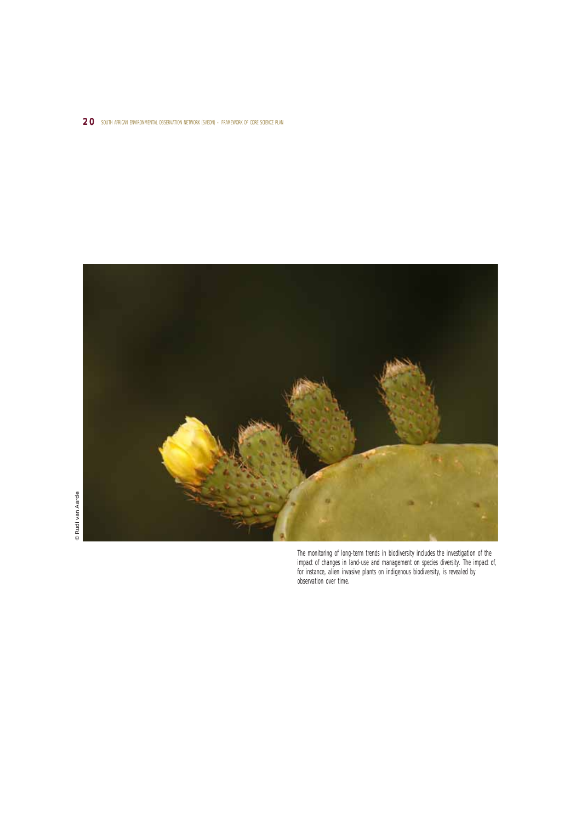## 20 south african environmental observation network (saeon) – framework of core science plan



The monitoring of long-term trends in biodiversity includes the investigation of the impact of changes in land-use and management on species diversity. The impact of, for instance, alien invasive plants on indigenous biodiversity, is revealed by observation over time.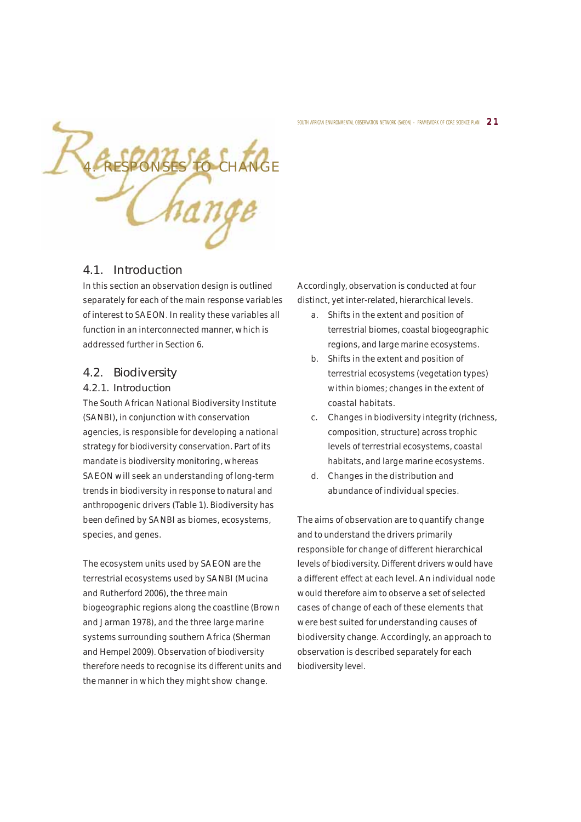

## 4.1. Introduction

In this section an observation design is outlined separately for each of the main response variables of interest to SAEON. In reality these variables all function in an interconnected manner, which is addressed further in Section 6.

## 4.2. Biodiversity

## 4.2.1. Introduction

The South African National Biodiversity Institute (SANBI), in conjunction with conservation agencies, is responsible for developing a national strategy for biodiversity conservation. Part of its mandate is biodiversity monitoring, whereas SAEON will seek an understanding of long-term trends in biodiversity in response to natural and anthropogenic drivers (Table 1). Biodiversity has been defined by SANBI as biomes, ecosystems, species, and genes.

The ecosystem units used by SAEON are the terrestrial ecosystems used by SANBI (Mucina and Rutherford 2006), the three main biogeographic regions along the coastline (Brown and Jarman 1978), and the three large marine systems surrounding southern Africa (Sherman and Hempel 2009). Observation of biodiversity therefore needs to recognise its different units and the manner in which they might show change.

Accordingly, observation is conducted at four distinct, yet inter-related, hierarchical levels.

- a. Shifts in the extent and position of terrestrial biomes, coastal biogeographic regions, and large marine ecosystems.
- b. Shifts in the extent and position of terrestrial ecosystems (vegetation types) within biomes; changes in the extent of coastal habitats.
- c. Changes in biodiversity integrity (richness, composition, structure) across trophic levels of terrestrial ecosystems, coastal habitats, and large marine ecosystems.
- d. Changes in the distribution and abundance of individual species.

The aims of observation are to quantify change and to understand the drivers primarily responsible for change of different hierarchical levels of biodiversity. Different drivers would have a different effect at each level. An individual node would therefore aim to observe a set of selected cases of change of each of these elements that were best suited for understanding causes of biodiversity change. Accordingly, an approach to observation is described separately for each biodiversity level.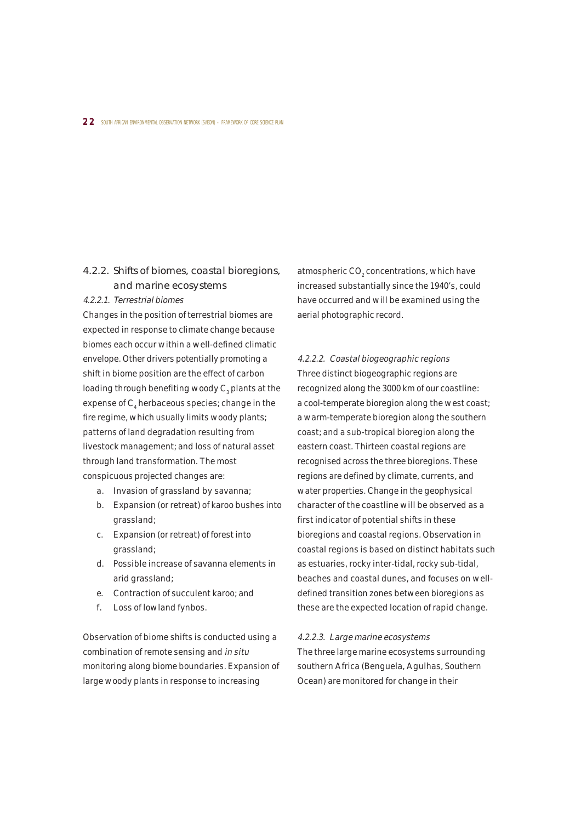## 4.2.2. Shifts of biomes, coastal bioregions, and marine ecosystems

### 4.2.2.1. Terrestrial biomes

Changes in the position of terrestrial biomes are expected in response to climate change because biomes each occur within a well-defined climatic envelope. Other drivers potentially promoting a shift in biome position are the effect of carbon loading through benefiting woody  $\text{C}_\text{\tiny{3}}$  plants at the expense of  $\text{C}_\text{4}$  herbaceous species; change in the fire regime, which usually limits woody plants; patterns of land degradation resulting from livestock management; and loss of natural asset through land transformation. The most conspicuous projected changes are:

- a. Invasion of grassland by savanna;
- b. Expansion (or retreat) of karoo bushes into grassland;
- c. Expansion (or retreat) of forest into grassland;
- d. Possible increase of savanna elements in arid grassland;
- e. Contraction of succulent karoo; and
- f. Loss of lowland fynbos.

Observation of biome shifts is conducted using a combination of remote sensing and in situ monitoring along biome boundaries. Expansion of large woody plants in response to increasing

atmospheric CO $_{\tiny 2}$  concentrations, which have increased substantially since the 1940's, could have occurred and will be examined using the aerial photographic record.

4.2.2.2. Coastal biogeographic regions Three distinct biogeographic regions are recognized along the 3000 km of our coastline: a cool-temperate bioregion along the west coast; a warm-temperate bioregion along the southern coast; and a sub-tropical bioregion along the eastern coast. Thirteen coastal regions are recognised across the three bioregions. These regions are defined by climate, currents, and water properties. Change in the geophysical character of the coastline will be observed as a first indicator of potential shifts in these bioregions and coastal regions. Observation in coastal regions is based on distinct habitats such as estuaries, rocky inter-tidal, rocky sub-tidal, beaches and coastal dunes, and focuses on welldefined transition zones between bioregions as these are the expected location of rapid change.

#### 4.2.2.3. Large marine ecosystems

The three large marine ecosystems surrounding southern Africa (Benguela, Agulhas, Southern Ocean) are monitored for change in their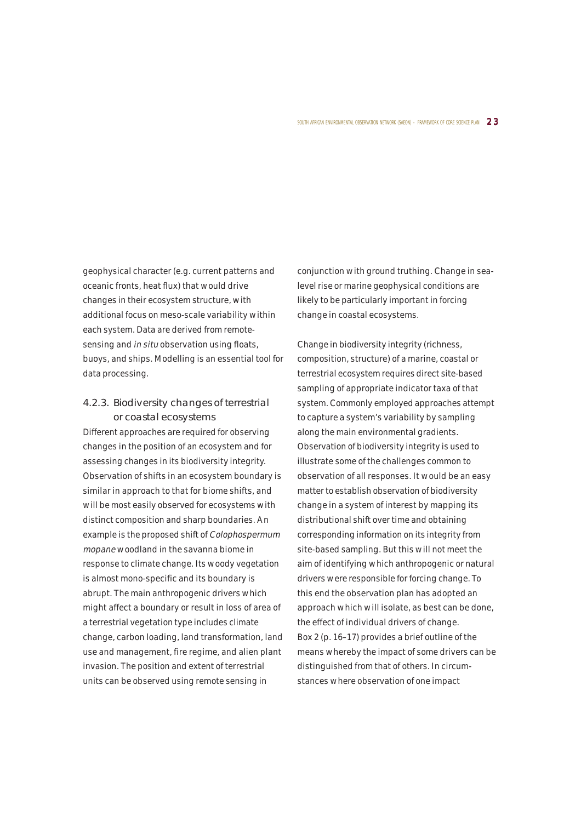geophysical character (e.g. current patterns and oceanic fronts, heat flux) that would drive changes in their ecosystem structure, with additional focus on meso-scale variability within each system. Data are derived from remotesensing and in situ observation using floats, buoys, and ships. Modelling is an essential tool for data processing.

## 4.2.3. Biodiversity changes of terrestrial or coastal ecosystems

Different approaches are required for observing changes in the position of an ecosystem and for assessing changes in its biodiversity integrity. Observation of shifts in an ecosystem boundary is similar in approach to that for biome shifts, and will be most easily observed for ecosystems with distinct composition and sharp boundaries. An example is the proposed shift of Colophospermum mopane woodland in the savanna biome in response to climate change. Its woody vegetation is almost mono-specific and its boundary is abrupt. The main anthropogenic drivers which might affect a boundary or result in loss of area of a terrestrial vegetation type includes climate change, carbon loading, land transformation, land use and management, fire regime, and alien plant invasion. The position and extent of terrestrial units can be observed using remote sensing in

conjunction with ground truthing. Change in sealevel rise or marine geophysical conditions are likely to be particularly important in forcing change in coastal ecosystems.

Change in biodiversity integrity (richness, composition, structure) of a marine, coastal or terrestrial ecosystem requires direct site-based sampling of appropriate indicator taxa of that system. Commonly employed approaches attempt to capture a system's variability by sampling along the main environmental gradients. Observation of biodiversity integrity is used to illustrate some of the challenges common to observation of all responses. It would be an easy matter to establish observation of biodiversity change in a system of interest by mapping its distributional shift over time and obtaining corresponding information on its integrity from site-based sampling. But this will not meet the aim of identifying which anthropogenic or natural drivers were responsible for forcing change. To this end the observation plan has adopted an approach which will isolate, as best can be done, the effect of individual drivers of change. Box 2 (p. 16–17) provides a brief outline of the means whereby the impact of some drivers can be distinguished from that of others. In circumstances where observation of one impact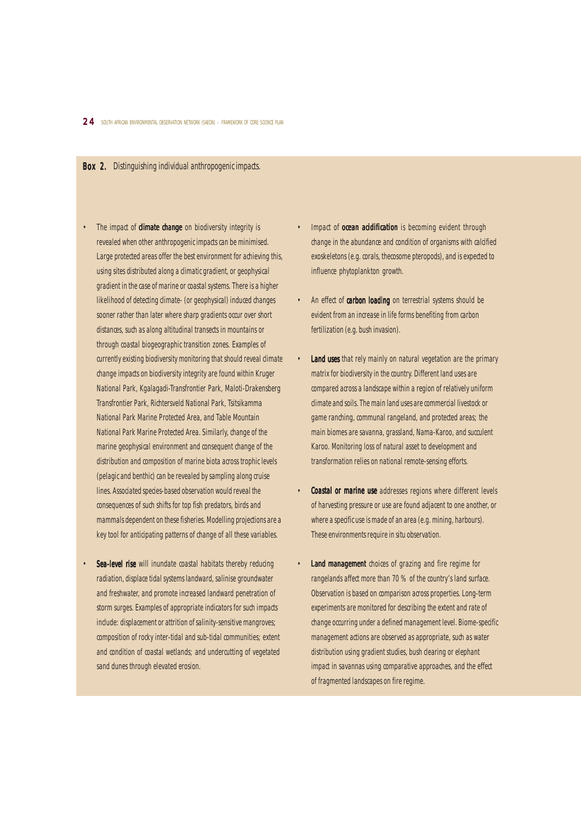#### Box 2. Distinguishing individual anthropogenic impacts.

- The impact of **climate change** on biodiversity integrity is revealed when other anthropogenic impacts can be minimised. Large protected areas offer the best environment for achieving this, using sites distributed along a climatic gradient, or geophysical gradient in the case of marine or coastal systems. There is a higher likelihood of detecting climate- (or geophysical) induced changes sooner rather than later where sharp gradients occur over short distances, such as along altitudinal transects in mountains or through coastal biogeographic transition zones. Examples of currently existing biodiversity monitoring that should reveal climate change impacts on biodiversity integrity are found within Kruger National Park, Kgalagadi-Transfrontier Park, Maloti-Drakensberg Transfrontier Park, Richtersveld National Park, Tsitsikamma National Park Marine Protected Area, and Table Mountain National Park Marine Protected Area. Similarly, change of the marine geophysical environment and consequent change of the distribution and composition of marine biota across trophic levels (pelagic and benthic) can be revealed by sampling along cruise lines. Associated species-based observation would reveal the consequences of such shifts for top fish predators, birds and mammals dependent on these fisheries. Modelling projections are a key tool for anticipating patterns of change of all these variables.
- Sea-level rise will inundate coastal habitats thereby reducing radiation, displace tidal systems landward, salinise groundwater and freshwater, and promote increased landward penetration of storm surges. Examples of appropriate indicators for such impacts include: displacement or attrition of salinity-sensitive mangroves; composition of rocky inter-tidal and sub-tidal communities; extent and condition of coastal wetlands; and undercutting of vegetated sand dunes through elevated erosion.
- Impact of **ocean acidification** is becoming evident through change in the abundance and condition of organisms with calcified exoskeletons (e.g. corals, thecosome pteropods), and is expected to influence phytoplankton growth.
- An effect of carbon loading on terrestrial systems should be evident from an increase in life forms benefiting from carbon fertilization (e.g. bush invasion).
- **Land uses** that rely mainly on natural vegetation are the primary matrix for biodiversity in the country. Different land uses are compared across a landscape within a region of relatively uniform climate and soils. The main land uses are commercial livestock or game ranching, communal rangeland, and protected areas; the main biomes are savanna, grassland, Nama-Karoo, and succulent Karoo. Monitoring loss of natural asset to development and transformation relies on national remote-sensing efforts.
- Coastal or marine use addresses regions where different levels of harvesting pressure or use are found adjacent to one another, or where a specific use is made of an area (e.g. mining, harbours). These environments require in situ observation.
- Land management choices of grazing and fire regime for rangelands affect more than 70 % of the country's land surface. Observation is based on comparison across properties. Long-term experiments are monitored for describing the extent and rate of change occurring under a defined management level. Biome-specific management actions are observed as appropriate, such as water distribution using gradient studies, bush clearing or elephant impact in savannas using comparative approaches, and the effect of fragmented landscapes on fire regime.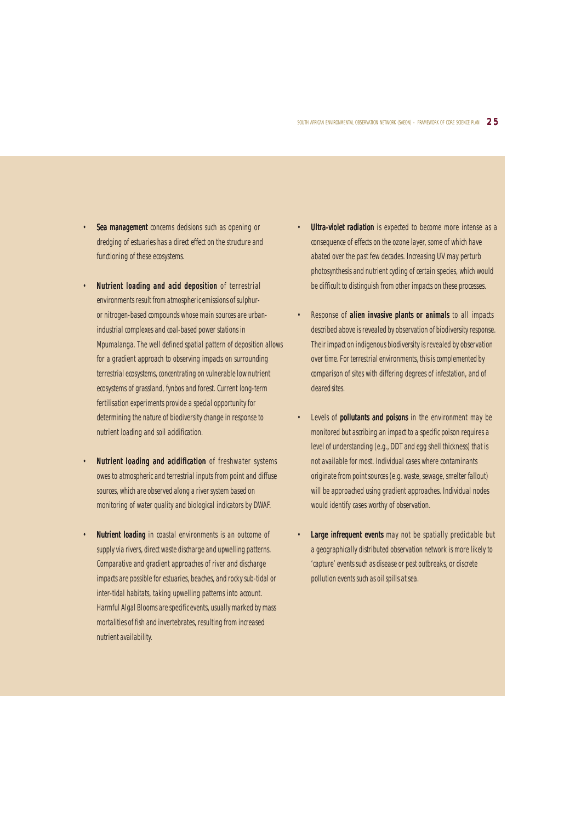- Sea management concerns decisions such as opening or dredging of estuaries has a direct effect on the structure and functioning of these ecosystems.
- Nutrient loading and acid deposition of terrestrial environments result from atmospheric emissions of sulphuror nitrogen-based compounds whose main sources are urbanindustrial complexes and coal-based power stations in Mpumalanga. The well defined spatial pattern of deposition allows for a gradient approach to observing impacts on surrounding terrestrial ecosystems, concentrating on vulnerable low nutrient ecosystems of grassland, fynbos and forest. Current long-term fertilisation experiments provide a special opportunity for determining the nature of biodiversity change in response to nutrient loading and soil acidification.
- Nutrient loading and acidification of freshwater systems owes to atmospheric and terrestrial inputs from point and diffuse sources, which are observed along a river system based on monitoring of water quality and biological indicators by DWAF.
- Nutrient loading in coastal environments is an outcome of supply via rivers, direct waste discharge and upwelling patterns. Comparative and gradient approaches of river and discharge impacts are possible for estuaries, beaches, and rocky sub-tidal or inter-tidal habitats, taking upwelling patterns into account. Harmful Algal Blooms are specific events, usually marked by mass mortalities of fish and invertebrates, resulting from increased nutrient availability.
- **Ultra-violet radiation** is expected to become more intense as a consequence of effects on the ozone layer, some of which have abated over the past few decades. Increasing UV may perturb photosynthesis and nutrient cycling of certain species, which would be difficult to distinguish from other impacts on these processes.
- Response of alien invasive plants or animals to all impacts described above is revealed by observation of biodiversity response. Their impact on indigenous biodiversity is revealed by observation over time. For terrestrial environments, this is complemented by comparison of sites with differing degrees of infestation, and of cleared sites.
- Levels of **pollutants and poisons** in the environment may be monitored but ascribing an impact to a specific poison requires a level of understanding (e.g., DDT and egg shell thickness) that is not available for most. Individual cases where contaminants originate from point sources (e.g. waste, sewage, smelter fallout) will be approached using gradient approaches. Individual nodes would identify cases worthy of observation.
- Large infrequent events may not be spatially predictable but a geographically distributed observation network is more likely to 'capture' events such as disease or pest outbreaks, or discrete pollution events such as oil spills at sea.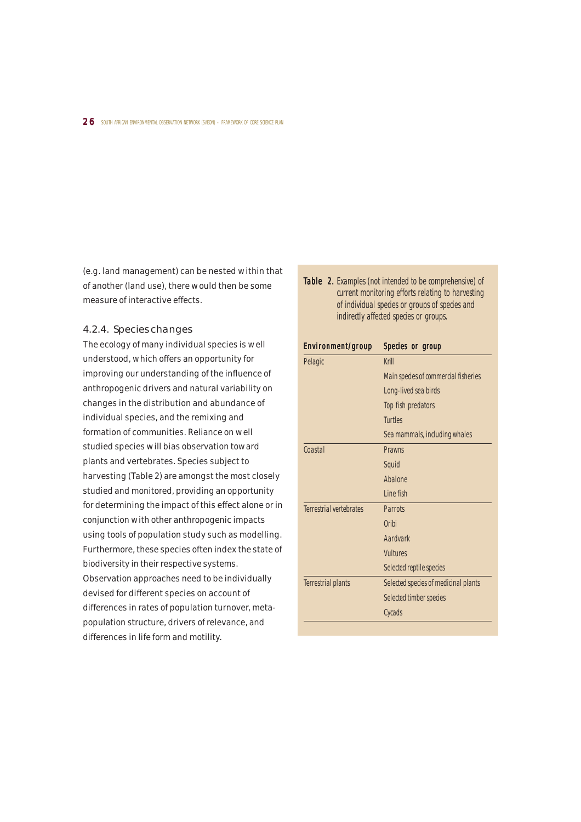(e.g. land management) can be nested within that of another (land use), there would then be some measure of interactive effects.

## 4.2.4. Species changes

The ecology of many individual species is well understood, which offers an opportunity for improving our understanding of the influence of anthropogenic drivers and natural variability on changes in the distribution and abundance of individual species, and the remixing and formation of communities. Reliance on well studied species will bias observation toward plants and vertebrates. Species subject to harvesting (Table 2) are amongst the most closely studied and monitored, providing an opportunity for determining the impact of this effect alone or in conjunction with other anthropogenic impacts using tools of population study such as modelling. Furthermore, these species often index the state of biodiversity in their respective systems. Observation approaches need to be individually devised for different species on account of differences in rates of population turnover, metapopulation structure, drivers of relevance, and differences in life form and motility.

Table 2. Examples (not intended to be comprehensive) of current monitoring efforts relating to harvesting of individual species or groups of species and indirectly affected species or groups.

| Environment/group              | Species or group                     |
|--------------------------------|--------------------------------------|
| Pelagic                        | Krill                                |
|                                | Main species of commercial fisheries |
|                                | Long-lived sea birds                 |
|                                | Top fish predators                   |
|                                | <b>Turtles</b>                       |
|                                | Sea mammals, including whales        |
| Coastal                        | <b>Prawns</b>                        |
|                                | Squid                                |
|                                | Abalone                              |
|                                | I ine fish                           |
| <b>Terrestrial vertebrates</b> | <b>Parrots</b>                       |
|                                | Oribi                                |
|                                | Aardvark                             |
|                                | <b>Vultures</b>                      |
|                                | Selected reptile species             |
| <b>Terrestrial plants</b>      | Selected species of medicinal plants |
|                                | Selected timber species              |
|                                | Cycads                               |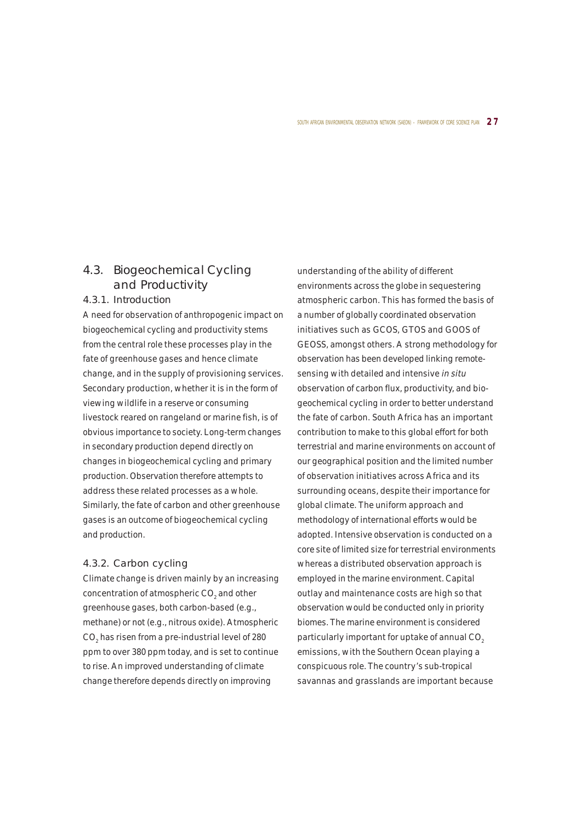## 4.3. Biogeochemical Cycling and Productivity

## 4.3.1. Introduction

A need for observation of anthropogenic impact on biogeochemical cycling and productivity stems from the central role these processes play in the fate of greenhouse gases and hence climate change, and in the supply of provisioning services. Secondary production, whether it is in the form of viewing wildlife in a reserve or consuming livestock reared on rangeland or marine fish, is of obvious importance to society. Long-term changes in secondary production depend directly on changes in biogeochemical cycling and primary production. Observation therefore attempts to address these related processes as a whole. Similarly, the fate of carbon and other greenhouse gases is an outcome of biogeochemical cycling and production.

#### 4.3.2. Carbon cycling

Climate change is driven mainly by an increasing concentration of atmospheric  $\mathrm{CO}_2^{}$  and other greenhouse gases, both carbon-based (e.g., methane) or not (e.g., nitrous oxide). Atmospheric  $\mathrm{CO}_2^{}$  has risen from a pre-industrial level of 280  $\,$ ppm to over 380 ppm today, and is set to continue to rise. An improved understanding of climate change therefore depends directly on improving

understanding of the ability of different environments across the globe in sequestering atmospheric carbon. This has formed the basis of a number of globally coordinated observation initiatives such as GCOS, GTOS and GOOS of GEOSS, amongst others. A strong methodology for observation has been developed linking remotesensing with detailed and intensive in situ observation of carbon flux, productivity, and biogeochemical cycling in order to better understand the fate of carbon. South Africa has an important contribution to make to this global effort for both terrestrial and marine environments on account of our geographical position and the limited number of observation initiatives across Africa and its surrounding oceans, despite their importance for global climate. The uniform approach and methodology of international efforts would be adopted. Intensive observation is conducted on a core site of limited size for terrestrial environments whereas a distributed observation approach is employed in the marine environment. Capital outlay and maintenance costs are high so that observation would be conducted only in priority biomes. The marine environment is considered particularly important for uptake of annual CO<sub>2</sub> emissions, with the Southern Ocean playing a conspicuous role. The country's sub-tropical savannas and grasslands are important because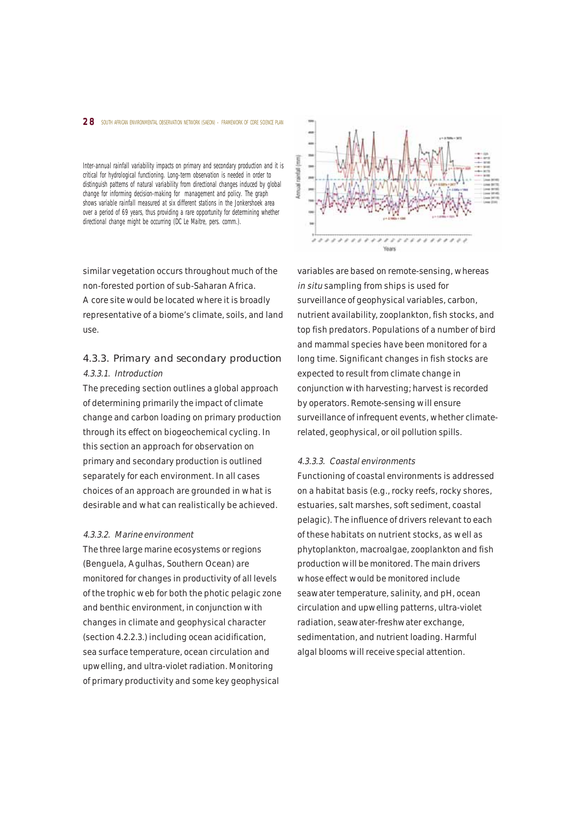#### 2 8 SOUTH AFRICAN ENVIRONMENTAL OBSERVATION NETWORK (SAEON) - FRAMEWORK OF CORE SCIENCE PLAN

Inter-annual rainfall variability impacts on primary and secondary production and it is critical for hydrological functioning. Long-term observation is needed in order to distinguish patterns of natural variability from directional changes induced by global change for informing decision-making for management and policy. The graph shows variable rainfall measured at six different stations in the Jonkershoek area over a period of 69 years, thus providing a rare opportunity for determining whether directional change might be occurring (DC Le Maitre, pers. comm.).

similar vegetation occurs throughout much of the non-forested portion of sub-Saharan Africa. A core site would be located where it is broadly representative of a biome's climate, soils, and land use.

## 4.3.3. Primary and secondary production 4.3.3.1. Introduction

The preceding section outlines a global approach of determining primarily the impact of climate change and carbon loading on primary production through its effect on biogeochemical cycling. In this section an approach for observation on primary and secondary production is outlined separately for each environment. In all cases choices of an approach are grounded in what is desirable and what can realistically be achieved.

#### 4.3.3.2. Marine environment

The three large marine ecosystems or regions (Benguela, Agulhas, Southern Ocean) are monitored for changes in productivity of all levels of the trophic web for both the photic pelagic zone and benthic environment, in conjunction with changes in climate and geophysical character (section 4.2.2.3.) including ocean acidification, sea surface temperature, ocean circulation and upwelling, and ultra-violet radiation. Monitoring of primary productivity and some key geophysical



variables are based on remote-sensing, whereas in situ sampling from ships is used for surveillance of geophysical variables, carbon, nutrient availability, zooplankton, fish stocks, and top fish predators. Populations of a number of bird and mammal species have been monitored for a long time. Significant changes in fish stocks are expected to result from climate change in conjunction with harvesting; harvest is recorded by operators. Remote-sensing will ensure surveillance of infrequent events, whether climaterelated, geophysical, or oil pollution spills.

#### 4.3.3.3. Coastal environments

Functioning of coastal environments is addressed on a habitat basis (e.g., rocky reefs, rocky shores, estuaries, salt marshes, soft sediment, coastal pelagic). The influence of drivers relevant to each of these habitats on nutrient stocks, as well as phytoplankton, macroalgae, zooplankton and fish production will be monitored. The main drivers whose effect would be monitored include seawater temperature, salinity, and pH, ocean circulation and upwelling patterns, ultra-violet radiation, seawater-freshwater exchange, sedimentation, and nutrient loading. Harmful algal blooms will receive special attention.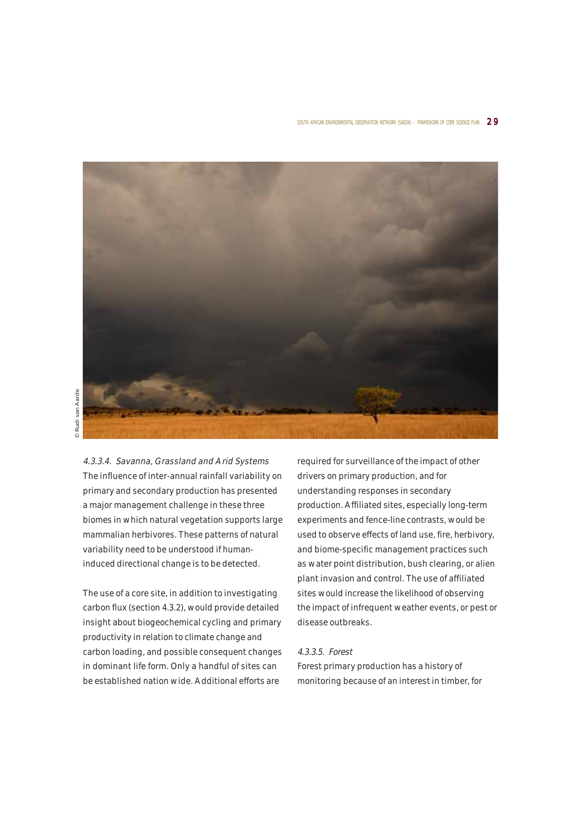

4.3.3.4. Savanna, Grassland and Arid Systems The influence of inter-annual rainfall variability on primary and secondary production has presented a major management challenge in these three biomes in which natural vegetation supports large mammalian herbivores. These patterns of natural variability need to be understood if humaninduced directional change is to be detected.

The use of a core site, in addition to investigating carbon flux (section 4.3.2), would provide detailed insight about biogeochemical cycling and primary productivity in relation to climate change and carbon loading, and possible consequent changes in dominant life form. Only a handful of sites can be established nation wide. Additional efforts are

required for surveillance of the impact of other drivers on primary production, and for understanding responses in secondary production. Affiliated sites, especially long-term experiments and fence-line contrasts, would be used to observe effects of land use, fire, herbivory, and biome-specific management practices such as water point distribution, bush clearing, or alien plant invasion and control. The use of affiliated sites would increase the likelihood of observing the impact of infrequent weather events, or pest or disease outbreaks.

#### 4.3.3.5. Forest

Forest primary production has a history of monitoring because of an interest in timber, for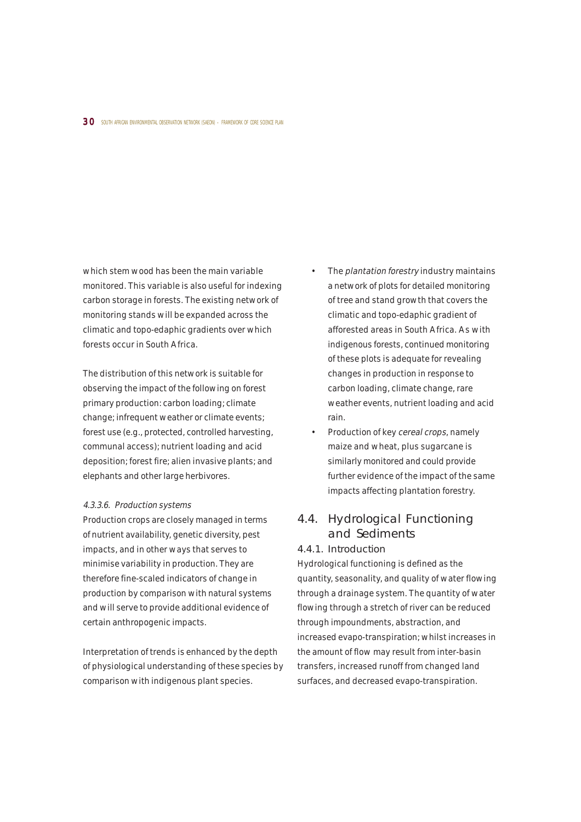which stem wood has been the main variable monitored. This variable is also useful for indexing carbon storage in forests. The existing network of monitoring stands will be expanded across the climatic and topo-edaphic gradients over which forests occur in South Africa.

The distribution of this network is suitable for observing the impact of the following on forest primary production: carbon loading; climate change; infrequent weather or climate events; forest use (e.g., protected, controlled harvesting, communal access); nutrient loading and acid deposition; forest fire; alien invasive plants; and elephants and other large herbivores.

#### 4.3.3.6. Production systems

Production crops are closely managed in terms of nutrient availability, genetic diversity, pest impacts, and in other ways that serves to minimise variability in production. They are therefore fine-scaled indicators of change in production by comparison with natural systems and will serve to provide additional evidence of certain anthropogenic impacts.

Interpretation of trends is enhanced by the depth of physiological understanding of these species by comparison with indigenous plant species.

- The *plantation forestry* industry maintains a network of plots for detailed monitoring of tree and stand growth that covers the climatic and topo-edaphic gradient of afforested areas in South Africa. As with indigenous forests, continued monitoring of these plots is adequate for revealing changes in production in response to carbon loading, climate change, rare weather events, nutrient loading and acid rain.
- Production of key cereal crops, namely maize and wheat, plus sugarcane is similarly monitored and could provide further evidence of the impact of the same impacts affecting plantation forestry.

## 4.4. Hydrological Functioning and Sediments

## 4.4.1. Introduction

Hydrological functioning is defined as the quantity, seasonality, and quality of water flowing through a drainage system. The quantity of water flowing through a stretch of river can be reduced through impoundments, abstraction, and increased evapo-transpiration; whilst increases in the amount of flow may result from inter-basin transfers, increased runoff from changed land surfaces, and decreased evapo-transpiration.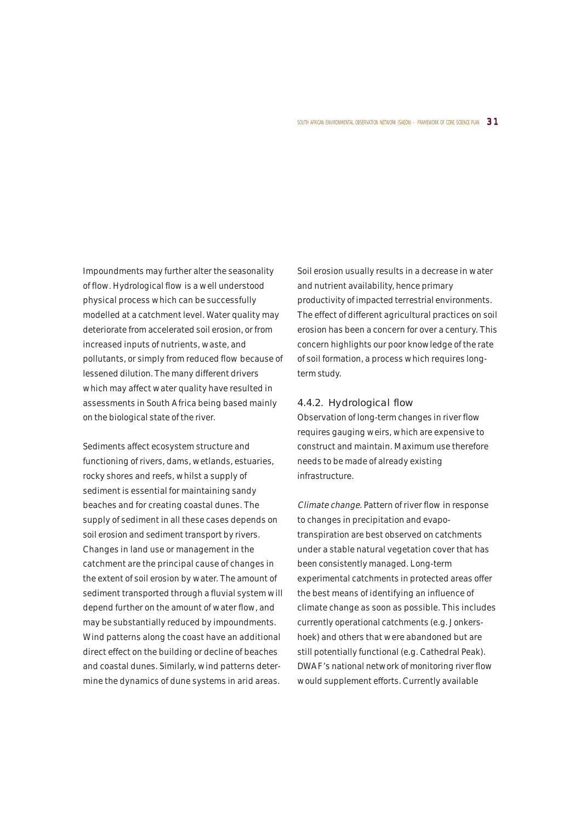#### SOUTH AFRICAN ENVIRONMENTAL OBSERVATION NETWORK (SAEON) - FRAMEWORK OF CORE SCIENCE PLAN  $\,3\,1\,$

Impoundments may further alter the seasonality of flow. Hydrological flow is a well understood physical process which can be successfully modelled at a catchment level. Water quality may deteriorate from accelerated soil erosion, or from increased inputs of nutrients, waste, and pollutants, or simply from reduced flow because of lessened dilution. The many different drivers which may affect water quality have resulted in assessments in South Africa being based mainly on the biological state of the river.

Sediments affect ecosystem structure and functioning of rivers, dams, wetlands, estuaries, rocky shores and reefs, whilst a supply of sediment is essential for maintaining sandy beaches and for creating coastal dunes. The supply of sediment in all these cases depends on soil erosion and sediment transport by rivers. Changes in land use or management in the catchment are the principal cause of changes in the extent of soil erosion by water. The amount of sediment transported through a fluvial system will depend further on the amount of water flow, and may be substantially reduced by impoundments. Wind patterns along the coast have an additional direct effect on the building or decline of beaches and coastal dunes. Similarly, wind patterns determine the dynamics of dune systems in arid areas.

Soil erosion usually results in a decrease in water and nutrient availability, hence primary productivity of impacted terrestrial environments. The effect of different agricultural practices on soil erosion has been a concern for over a century. This concern highlights our poor knowledge of the rate of soil formation, a process which requires longterm study.

#### 4.4.2. Hydrological flow

Observation of long-term changes in river flow requires gauging weirs, which are expensive to construct and maintain. Maximum use therefore needs to be made of already existing infrastructure.

Climate change. Pattern of river flow in response to changes in precipitation and evapotranspiration are best observed on catchments under a stable natural vegetation cover that has been consistently managed. Long-term experimental catchments in protected areas offer the best means of identifying an influence of climate change as soon as possible. This includes currently operational catchments (e.g. Jonkershoek) and others that were abandoned but are still potentially functional (e.g. Cathedral Peak). DWAF's national network of monitoring river flow would supplement efforts. Currently available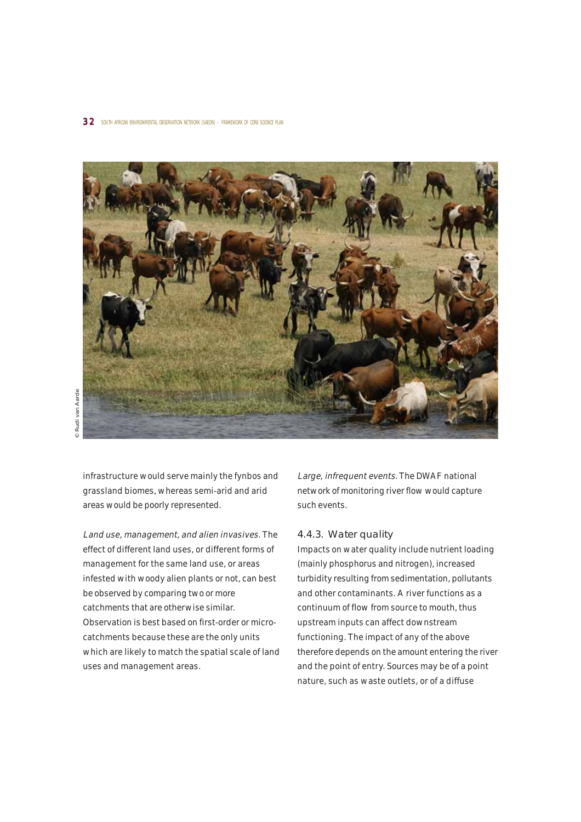

infrastructure would serve mainly the fynbos and grassland biomes, whereas semi-arid and arid areas would be poorly represented.

Land use, management, and alien invasives. The effect of different land uses, or different forms of management for the same land use, or areas infested with woody alien plants or not, can best be observed by comparing two or more catchments that are otherwise similar. Observation is best based on first-order or microcatchments because these are the only units which are likely to match the spatial scale of land uses and management areas.

Large, infrequent events. The DWAF national network of monitoring river flow would capture such events.

### 4.4.3. Water quality

Impacts on water quality include nutrient loading (mainly phosphorus and nitrogen), increased turbidity resulting from sedimentation, pollutants and other contaminants. A river functions as a continuum of flow from source to mouth, thus upstream inputs can affect downstream functioning. The impact of any of the above therefore depends on the amount entering the river and the point of entry. Sources may be of a point nature, such as waste outlets, or of a diffuse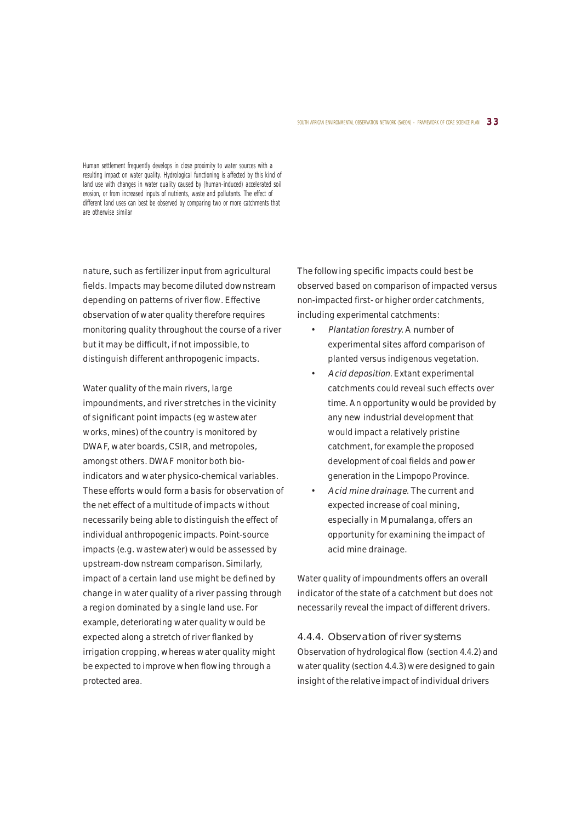#### SOUTH AFRICAN ENVIRONMENTAL OBSERVATION NETWORK (SAEON) - FRAMEWORK OF CORE SCIENCE PLAN  $\,$  3 3  $\,$

Human settlement frequently develops in close proximity to water sources with a resulting impact on water quality. Hydrological functioning is affected by this kind of land use with changes in water quality caused by (human-induced) accelerated soil erosion, or from increased inputs of nutrients, waste and pollutants. The effect of different land uses can best be observed by comparing two or more catchments that are otherwise similar

nature, such as fertilizer input from agricultural fields. Impacts may become diluted downstream depending on patterns of river flow. Effective observation of water quality therefore requires monitoring quality throughout the course of a river but it may be difficult, if not impossible, to distinguish different anthropogenic impacts.

Water quality of the main rivers, large impoundments, and river stretches in the vicinity of significant point impacts (eg wastewater works, mines) of the country is monitored by DWAF, water boards, CSIR, and metropoles, amongst others. DWAF monitor both bioindicators and water physico-chemical variables. These efforts would form a basis for observation of the net effect of a multitude of impacts without necessarily being able to distinguish the effect of individual anthropogenic impacts. Point-source impacts (e.g. wastewater) would be assessed by upstream-downstream comparison. Similarly, impact of a certain land use might be defined by change in water quality of a river passing through a region dominated by a single land use. For example, deteriorating water quality would be expected along a stretch of river flanked by irrigation cropping, whereas water quality might be expected to improve when flowing through a protected area.

The following specific impacts could best be observed based on comparison of impacted versus non-impacted first- or higher order catchments, including experimental catchments:

- Plantation forestry. A number of experimental sites afford comparison of planted versus indigenous vegetation.
- Acid deposition. Extant experimental catchments could reveal such effects over time. An opportunity would be provided by any new industrial development that would impact a relatively pristine catchment, for example the proposed development of coal fields and power generation in the Limpopo Province.
- Acid mine drainage. The current and expected increase of coal mining, especially in Mpumalanga, offers an opportunity for examining the impact of acid mine drainage.

Water quality of impoundments offers an overall indicator of the state of a catchment but does not necessarily reveal the impact of different drivers.

## 4.4.4. Observation of river systems Observation of hydrological flow (section 4.4.2) and water quality (section 4.4.3) were designed to gain insight of the relative impact of individual drivers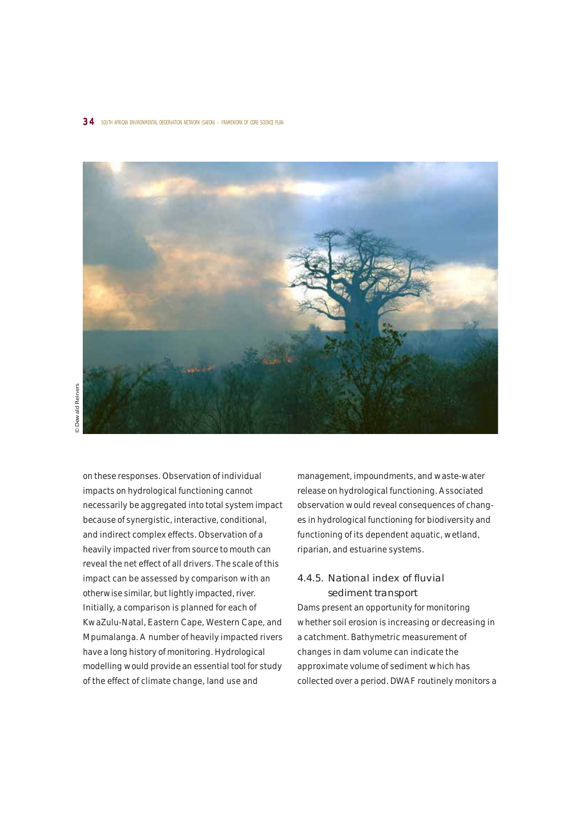

on these responses. Observation of individual impacts on hydrological functioning cannot necessarily be aggregated into total system impact because of synergistic, interactive, conditional, and indirect complex effects. Observation of a heavily impacted river from source to mouth can reveal the net effect of all drivers. The scale of this impact can be assessed by comparison with an otherwise similar, but lightly impacted, river. Initially, a comparison is planned for each of KwaZulu-Natal, Eastern Cape, Western Cape, and Mpumalanga. A number of heavily impacted rivers have a long history of monitoring. Hydrological modelling would provide an essential tool for study of the effect of climate change, land use and

management, impoundments, and waste-water release on hydrological functioning. Associated observation would reveal consequences of changes in hydrological functioning for biodiversity and functioning of its dependent aquatic, wetland, riparian, and estuarine systems.

## 4.4.5. National index of fluvial sediment transport

Dams present an opportunity for monitoring whether soil erosion is increasing or decreasing in a catchment. Bathymetric measurement of changes in dam volume can indicate the approximate volume of sediment which has collected over a period. DWAF routinely monitors a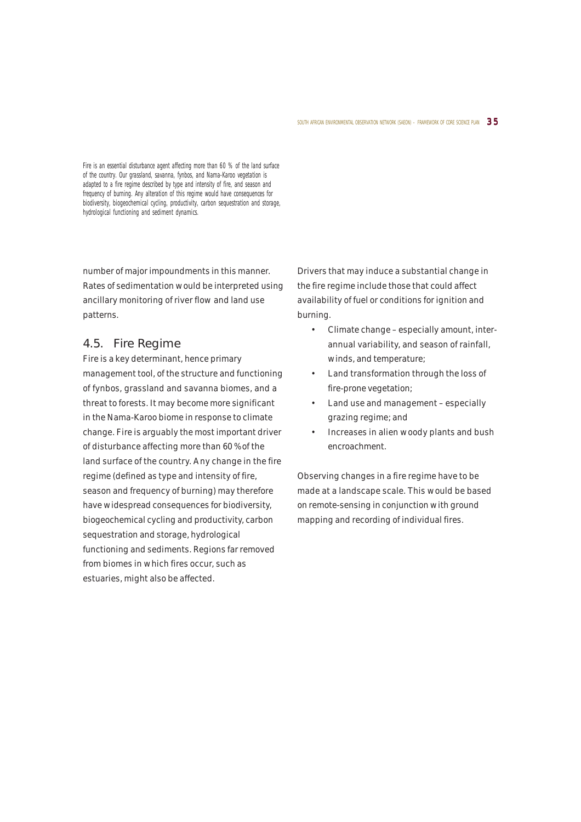#### SOUTH AFRICAN ENVIRONMENTAL OBSERVATION NETWORK (SAEON) - FRAMEWORK OF CORE SCIENCE PLAN  $\,3\,5\,$

Fire is an essential disturbance agent affecting more than 60 % of the land surface of the country. Our grassland, savanna, fynbos, and Nama-Karoo vegetation is adapted to a fire regime described by type and intensity of fire, and season and frequency of burning. Any alteration of this regime would have consequences for biodiversity, biogeochemical cycling, productivity, carbon sequestration and storage, hydrological functioning and sediment dynamics.

number of major impoundments in this manner. Rates of sedimentation would be interpreted using ancillary monitoring of river flow and land use patterns.

## 4.5. Fire Regime

Fire is a key determinant, hence primary management tool, of the structure and functioning of fynbos, grassland and savanna biomes, and a threat to forests. It may become more significant in the Nama-Karoo biome in response to climate change. Fire is arguably the most important driver of disturbance affecting more than 60 % of the land surface of the country. Any change in the fire regime (defined as type and intensity of fire, season and frequency of burning) may therefore have widespread consequences for biodiversity, biogeochemical cycling and productivity, carbon sequestration and storage, hydrological functioning and sediments. Regions far removed from biomes in which fires occur, such as estuaries, might also be affected.

Drivers that may induce a substantial change in the fire regime include those that could affect availability of fuel or conditions for ignition and burning.

- Climate change especially amount, interannual variability, and season of rainfall, winds, and temperature;
- Land transformation through the loss of fire-prone vegetation;
- Land use and management especially grazing regime; and
- Increases in alien woody plants and bush encroachment.

Observing changes in a fire regime have to be made at a landscape scale. This would be based on remote-sensing in conjunction with ground mapping and recording of individual fires.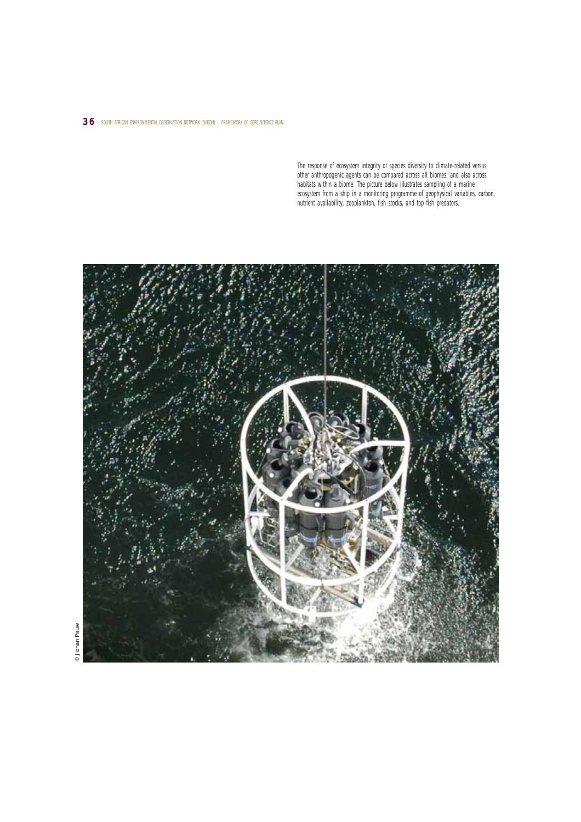## 36 SOUTH AFRICAN ENVIRONMENTAL OBSERVATION NETWORK (SAEON) - FRAMEWORK OF CORE SCIENCE PLAN

The response of ecosystem integrity or species diversity to climate-related versus other anthropogenic agents can be compared across all biomes, and also across habitats within a biome. The picture below illustrates sampling of a marine ecosystem from a ship in a monitoring programme of geophysical variables, carbon, nutrient availability, zooplankton, fish stocks, and top fish predators.



 $\odot$  Johan Pauw © Johan Pauw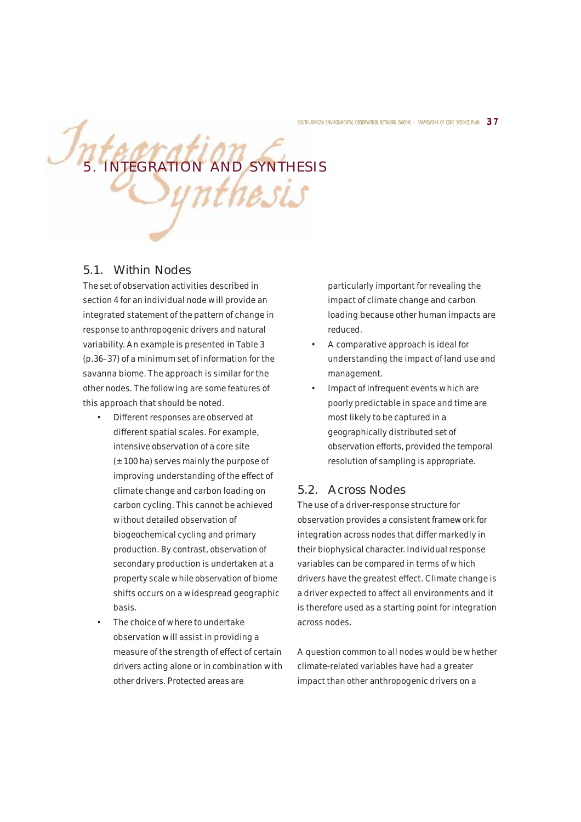# Integration and synthesis Synthesis

## 5.1. Within Nodes

The set of observation activities described in section 4 for an individual node will provide an integrated statement of the pattern of change in response to anthropogenic drivers and natural variability. An example is presented in Table 3 (p.36–37) of a minimum set of information for the savanna biome. The approach is similar for the other nodes. The following are some features of this approach that should be noted.

- Different responses are observed at different spatial scales. For example, intensive observation of a core site  $(\pm 100$  ha) serves mainly the purpose of improving understanding of the effect of climate change and carbon loading on carbon cycling. This cannot be achieved without detailed observation of biogeochemical cycling and primary production. By contrast, observation of secondary production is undertaken at a property scale while observation of biome shifts occurs on a widespread geographic basis.
- The choice of where to undertake observation will assist in providing a measure of the strength of effect of certain drivers acting alone or in combination with other drivers. Protected areas are

particularly important for revealing the impact of climate change and carbon loading because other human impacts are reduced.

- A comparative approach is ideal for understanding the impact of land use and management.
- Impact of infrequent events which are poorly predictable in space and time are most likely to be captured in a geographically distributed set of observation efforts, provided the temporal resolution of sampling is appropriate.

## 5.2. Across Nodes

The use of a driver-response structure for observation provides a consistent framework for integration across nodes that differ markedly in their biophysical character. Individual response variables can be compared in terms of which drivers have the greatest effect. Climate change is a driver expected to affect all environments and it is therefore used as a starting point for integration across nodes.

A question common to all nodes would be whether climate-related variables have had a greater impact than other anthropogenic drivers on a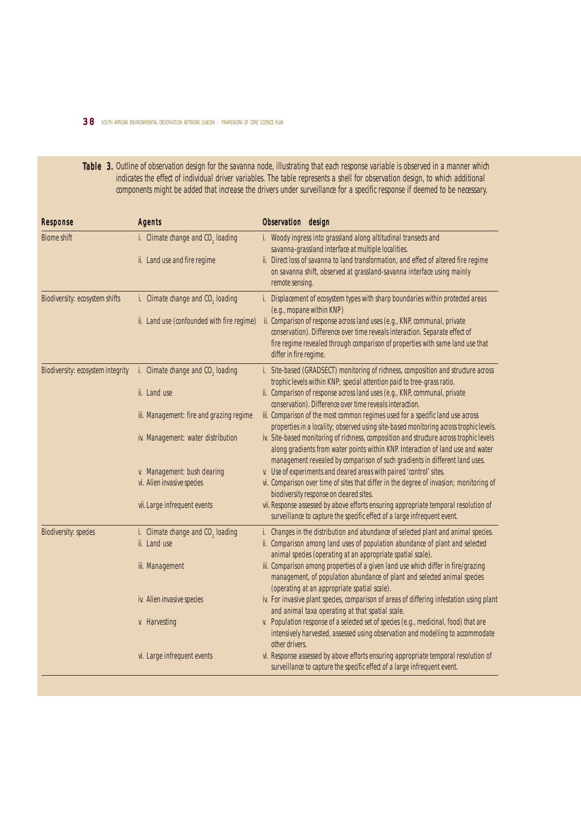## 3 8 SOUTH AFRICAN ENVIRONMENTAL OBSERVATION NETWORK (SAEON) – FRAMEWORK OF CORE SCIENCE PLAN

Table 3. Outline of observation design for the savanna node, illustrating that each response variable is observed in a manner which indicates the effect of individual driver variables. The table represents a shell for observation design, to which additional components might be added that increase the drivers under surveillance for a specific response if deemed to be necessary.

| <b>Response</b>                   | <b>Agents</b>                                                 | Observation design                                                                                                                                                                                                                                                  |
|-----------------------------------|---------------------------------------------------------------|---------------------------------------------------------------------------------------------------------------------------------------------------------------------------------------------------------------------------------------------------------------------|
| <b>Biome shift</b>                | i. Climate change and CO <sub>2</sub> loading                 | i. Woody ingress into grassland along altitudinal transects and<br>savanna-grassland interface at multiple localities.                                                                                                                                              |
|                                   | ii. Land use and fire regime                                  | ii. Direct loss of savanna to land transformation, and effect of altered fire regime<br>on savanna shift, observed at grassland-savanna interface using mainly<br>remote sensing.                                                                                   |
| Biodiversity: ecosystem shifts    | i. Climate change and $CO2$ loading                           | i. Displacement of ecosystem types with sharp boundaries within protected areas<br>(e.g., mopane within KNP)                                                                                                                                                        |
|                                   | ii. Land use (confounded with fire regime)                    | ii. Comparison of response across land uses (e.g., KNP, communal, private<br>conservation). Difference over time reveals interaction. Separate effect of<br>fire regime revealed through comparison of properties with same land use that<br>differ in fire regime. |
| Biodiversity: ecosystem integrity | i. Climate change and CO <sub>2</sub> loading                 | i. Site-based (GRADSECT) monitoring of richness, composition and structure across<br>trophic levels within KNP; special attention paid to tree-grass ratio.                                                                                                         |
|                                   | ii. Land use                                                  | ii. Comparison of response across land uses (e.g., KNP, communal, private<br>conservation). Difference over time reveals interaction.                                                                                                                               |
|                                   | iii. Management: fire and grazing regime                      | iii. Comparison of the most common regimes used for a specific land use across<br>properties in a locality; observed using site-based monitoring across trophic levels.                                                                                             |
|                                   | iv. Management: water distribution                            | iv. Site-based monitoring of richness, composition and structure across trophic levels<br>along gradients from water points within KNP. Interaction of land use and water<br>management revealed by comparison of such gradients in different land uses.            |
|                                   | v. Management: bush clearing<br>vi. Alien invasive species    | v. Use of experiments and cleared areas with paired 'control' sites.<br>vi. Comparison over time of sites that differ in the degree of invasion; monitoring of<br>biodiversity response on cleared sites.                                                           |
|                                   | vii. Large infrequent events                                  | vii. Response assessed by above efforts ensuring appropriate temporal resolution of<br>surveillance to capture the specific effect of a large infrequent event.                                                                                                     |
| <b>Biodiversity: species</b>      | i. Climate change and CO <sub>2</sub> loading<br>ii. Land use | i. Changes in the distribution and abundance of selected plant and animal species.<br>ii. Comparison among land uses of population abundance of plant and selected<br>animal species (operating at an appropriate spatial scale).                                   |
|                                   | iii. Management                                               | iii. Comparison among properties of a given land use which differ in fire/grazing<br>management, of population abundance of plant and selected animal species<br>(operating at an appropriate spatial scale).                                                       |
|                                   | iv. Alien invasive species                                    | iv. For invasive plant species, comparison of areas of differing infestation using plant<br>and animal taxa operating at that spatial scale.                                                                                                                        |
|                                   | v. Harvesting                                                 | v. Population response of a selected set of species (e.g., medicinal, food) that are<br>intensively harvested, assessed using observation and modelling to accommodate<br>other drivers.                                                                            |
|                                   | vi. Large infrequent events                                   | vi. Response assessed by above efforts ensuring appropriate temporal resolution of<br>surveillance to capture the specific effect of a large infrequent event.                                                                                                      |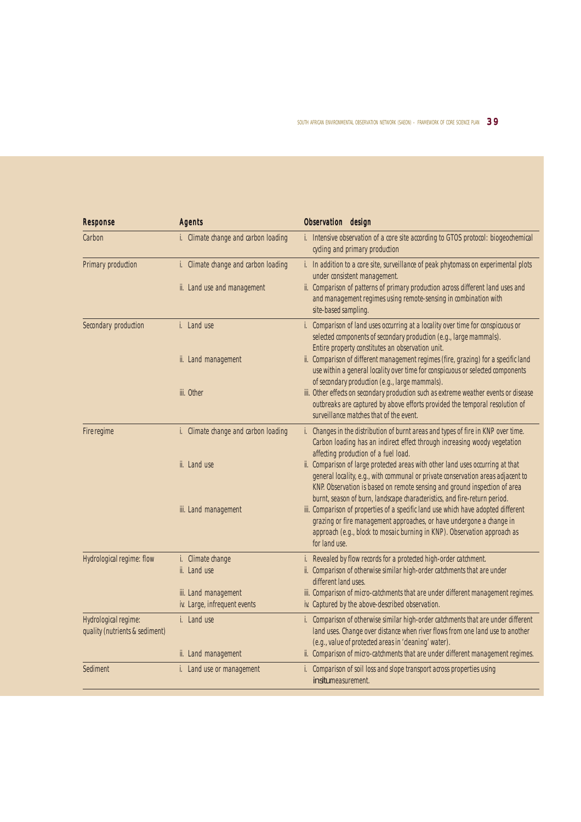| <b>Response</b>                                        | <b>Agents</b>                                        | Observation design                                                                                                                                                                                                                                                                                                          |
|--------------------------------------------------------|------------------------------------------------------|-----------------------------------------------------------------------------------------------------------------------------------------------------------------------------------------------------------------------------------------------------------------------------------------------------------------------------|
| Carbon                                                 | i. Climate change and carbon loading                 | i. Intensive observation of a core site according to GTOS protocol: biogeochemical<br>cycling and primary production                                                                                                                                                                                                        |
| <b>Primary production</b>                              | i. Climate change and carbon loading                 | i. In addition to a core site, surveillance of peak phytomass on experimental plots<br>under consistent management.                                                                                                                                                                                                         |
|                                                        | ii. Land use and management                          | ii. Comparison of patterns of primary production across different land uses and<br>and management regimes using remote-sensing in combination with<br>site-based sampling.                                                                                                                                                  |
| Secondary production                                   | i. Land use                                          | i. Comparison of land uses occurring at a locality over time for conspicuous or<br>selected components of secondary production (e.g., large mammals).<br>Entire property constitutes an observation unit.                                                                                                                   |
|                                                        | ii. Land management                                  | ii. Comparison of different management regimes (fire, grazing) for a specific land<br>use within a general locality over time for conspicuous or selected components<br>of secondary production (e.g., large mammals).                                                                                                      |
|                                                        | iii. Other                                           | iii. Other effects on secondary production such as extreme weather events or disease<br>outbreaks are captured by above efforts provided the temporal resolution of<br>surveillance matches that of the event.                                                                                                              |
| Fire regime                                            | i. Climate change and carbon loading                 | i. Changes in the distribution of burnt areas and types of fire in KNP over time.<br>Carbon loading has an indirect effect through increasing woody vegetation<br>affecting production of a fuel load.                                                                                                                      |
|                                                        | ii. Land use                                         | ii. Comparison of large protected areas with other land uses occurring at that<br>general locality, e.g., with communal or private conservation areas adjacent to<br>KNP. Observation is based on remote sensing and ground inspection of area<br>burnt, season of burn, landscape characteristics, and fire-return period. |
|                                                        | iii. Land management                                 | iii. Comparison of properties of a specific land use which have adopted different<br>grazing or fire management approaches, or have undergone a change in<br>approach (e.g., block to mosaic burning in KNP). Observation approach as<br>for land use.                                                                      |
| Hydrological regime: flow                              | i. Climate change<br>ii. Land use                    | i. Revealed by flow records for a protected high-order catchment.<br>ii. Comparison of otherwise similar high-order catchments that are under<br>different land uses.                                                                                                                                                       |
|                                                        | iii. Land management<br>iv. Large, infrequent events | iii. Comparison of micro-catchments that are under different management regimes.<br>iv. Captured by the above-described observation.                                                                                                                                                                                        |
| Hydrological regime:<br>quality (nutrients & sediment) | i. Land use                                          | i. Comparison of otherwise similar high-order catchments that are under different<br>land uses. Change over distance when river flows from one land use to another<br>(e.g., value of protected areas in 'cleaning' water).                                                                                                 |
|                                                        | ii. Land management                                  | ii. Comparison of micro-catchments that are under different management regimes.                                                                                                                                                                                                                                             |
| Sediment                                               | i. Land use or management                            | i. Comparison of soil loss and slope transport across properties using<br><i>in situ</i> measurement.                                                                                                                                                                                                                       |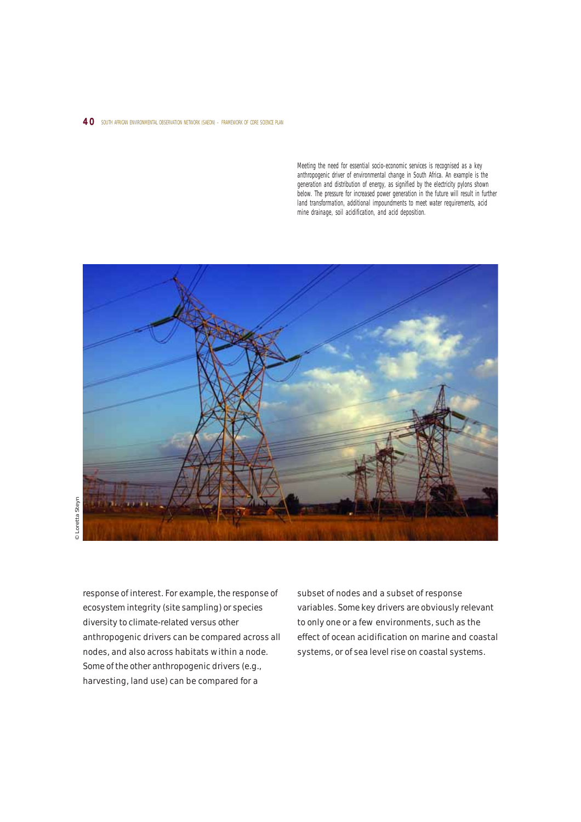#### 40 SOUTH AFRICAN ENVIRONMENTAL OBSERVATION NETWORK (SAEON) - FRAMEWORK OF CORE SCIENCE PLAN

Meeting the need for essential socio-economic services is recognised as a key anthropogenic driver of environmental change in South Africa. An example is the generation and distribution of energy, as signified by the electricity pylons shown below. The pressure for increased power generation in the future will result in further land transformation, additional impoundments to meet water requirements, acid mine drainage, soil acidification, and acid deposition.



response of interest. For example, the response of ecosystem integrity (site sampling) or species diversity to climate-related versus other anthropogenic drivers can be compared across all nodes, and also across habitats within a node. Some of the other anthropogenic drivers (e.g., harvesting, land use) can be compared for a

subset of nodes and a subset of response variables. Some key drivers are obviously relevant to only one or a few environments, such as the effect of ocean acidification on marine and coastal systems, or of sea level rise on coastal systems.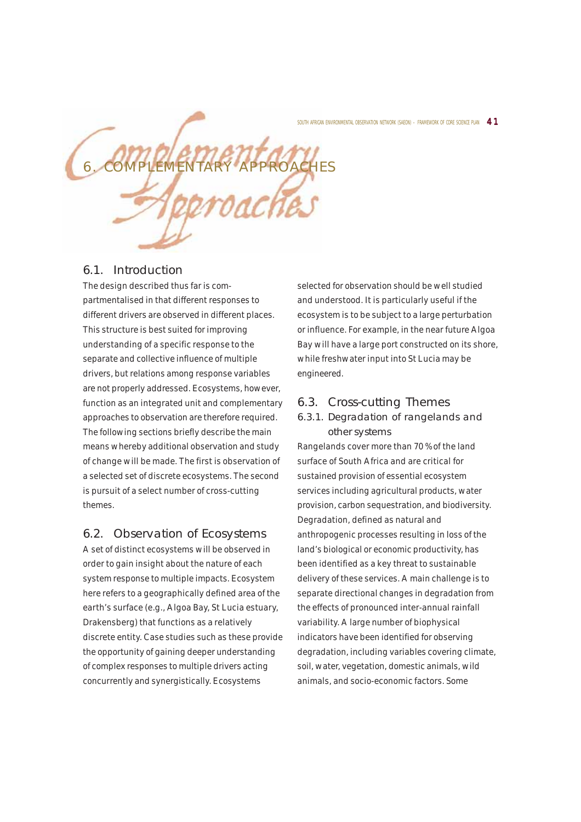SOUTH AFRICAN ENVIRONMENTAL OBSERVATION NETWORK (SAEON) - FRAMEWORK OF CORE SCIENCE PLAN  $\,\,4\,\,1\,$ 



## 6.1. Introduction

The design described thus far is compartmentalised in that different responses to different drivers are observed in different places. This structure is best suited for improving understanding of a specific response to the separate and collective influence of multiple drivers, but relations among response variables are not properly addressed. Ecosystems, however, function as an integrated unit and complementary approaches to observation are therefore required. The following sections briefly describe the main means whereby additional observation and study of change will be made. The first is observation of a selected set of discrete ecosystems. The second is pursuit of a select number of cross-cutting themes.

## 6.2. Observation of Ecosystems

A set of distinct ecosystems will be observed in order to gain insight about the nature of each system response to multiple impacts. Ecosystem here refers to a geographically defined area of the earth's surface (e.g., Algoa Bay, St Lucia estuary, Drakensberg) that functions as a relatively discrete entity. Case studies such as these provide the opportunity of gaining deeper understanding of complex responses to multiple drivers acting concurrently and synergistically. Ecosystems

selected for observation should be well studied and understood. It is particularly useful if the ecosystem is to be subject to a large perturbation or influence. For example, in the near future Algoa Bay will have a large port constructed on its shore, while freshwater input into St Lucia may be engineered.

## 6.3. Cross-cutting Themes

## 6.3.1. Degradation of rangelands and other systems

Rangelands cover more than 70 % of the land surface of South Africa and are critical for sustained provision of essential ecosystem services including agricultural products, water provision, carbon sequestration, and biodiversity. Degradation, defined as natural and anthropogenic processes resulting in loss of the land's biological or economic productivity, has been identified as a key threat to sustainable delivery of these services. A main challenge is to separate directional changes in degradation from the effects of pronounced inter-annual rainfall variability. A large number of biophysical indicators have been identified for observing degradation, including variables covering climate, soil, water, vegetation, domestic animals, wild animals, and socio-economic factors. Some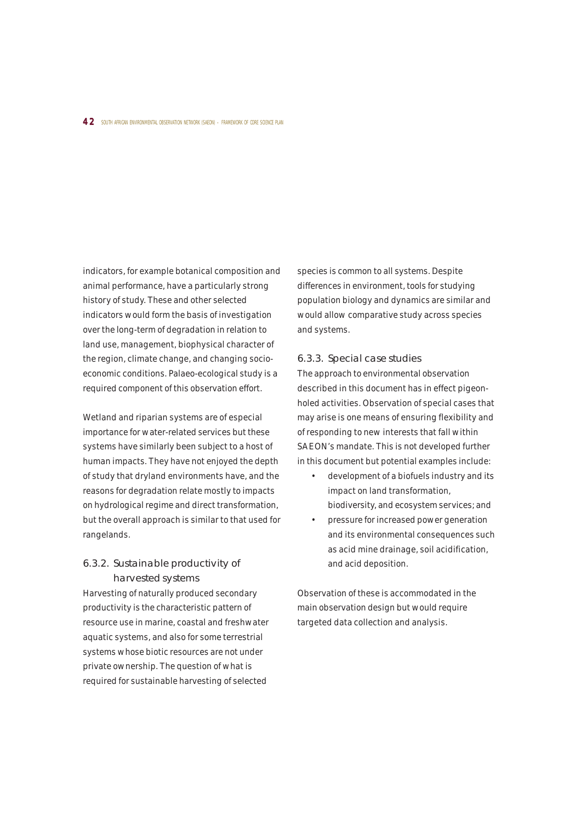#### 4 2 SOUTH AFRICAN ENVIRONMENTAL OBSERVATION NETWORK (SAEON) – FRAMEWORK OF CORE SCIENCE PLAN

indicators, for example botanical composition and animal performance, have a particularly strong history of study. These and other selected indicators would form the basis of investigation over the long-term of degradation in relation to land use, management, biophysical character of the region, climate change, and changing socioeconomic conditions. Palaeo-ecological study is a required component of this observation effort.

Wetland and riparian systems are of especial importance for water-related services but these systems have similarly been subject to a host of human impacts. They have not enjoyed the depth of study that dryland environments have, and the reasons for degradation relate mostly to impacts on hydrological regime and direct transformation, but the overall approach is similar to that used for rangelands.

## 6.3.2. Sustainable productivity of harvested systems

Harvesting of naturally produced secondary productivity is the characteristic pattern of resource use in marine, coastal and freshwater aquatic systems, and also for some terrestrial systems whose biotic resources are not under private ownership. The question of what is required for sustainable harvesting of selected

species is common to all systems. Despite differences in environment, tools for studying population biology and dynamics are similar and would allow comparative study across species and systems.

#### 6.3.3. Special case studies

The approach to environmental observation described in this document has in effect pigeonholed activities. Observation of special cases that may arise is one means of ensuring flexibility and of responding to new interests that fall within SAEON's mandate. This is not developed further in this document but potential examples include:

- development of a biofuels industry and its impact on land transformation, biodiversity, and ecosystem services; and
- pressure for increased power generation and its environmental consequences such as acid mine drainage, soil acidification, and acid deposition.

Observation of these is accommodated in the main observation design but would require targeted data collection and analysis.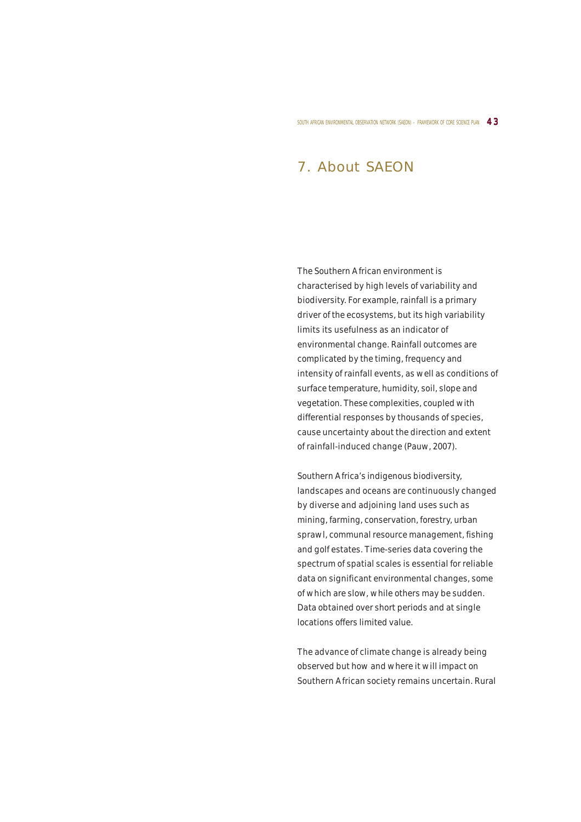SOUTH AFRICAN ENVIRONMENTAL OBSERVATION NETWORK (SAEON) – FRAMEWORK OF CORE SCIENCE PLAN  $\,$  4  $3$ 

# 7. About SAEON

The Southern African environment is characterised by high levels of variability and biodiversity. For example, rainfall is a primary driver of the ecosystems, but its high variability limits its usefulness as an indicator of environmental change. Rainfall outcomes are complicated by the timing, frequency and intensity of rainfall events, as well as conditions of surface temperature, humidity, soil, slope and vegetation. These complexities, coupled with differential responses by thousands of species, cause uncertainty about the direction and extent of rainfall-induced change (Pauw, 2007).

Southern Africa's indigenous biodiversity, landscapes and oceans are continuously changed by diverse and adjoining land uses such as mining, farming, conservation, forestry, urban sprawl, communal resource management, fishing and golf estates. Time-series data covering the spectrum of spatial scales is essential for reliable data on significant environmental changes, some of which are slow, while others may be sudden. Data obtained over short periods and at single locations offers limited value.

The advance of climate change is already being observed but how and where it will impact on Southern African society remains uncertain. Rural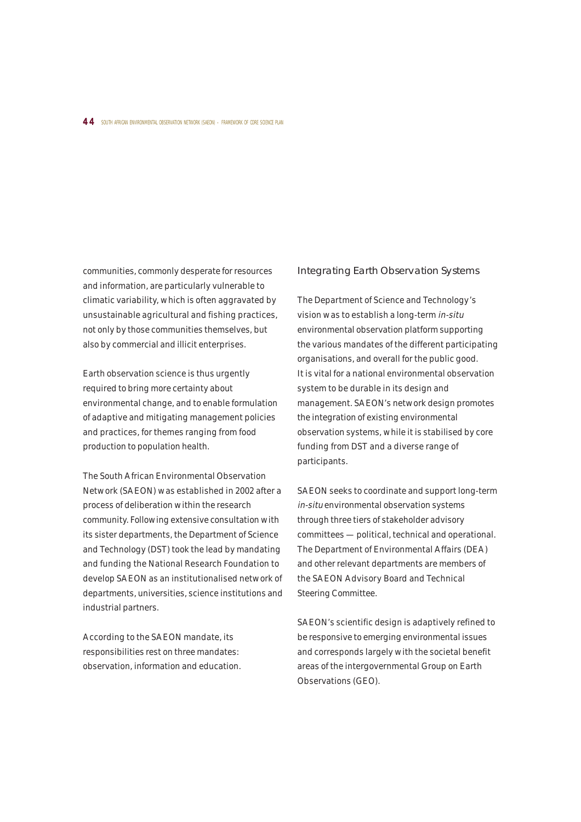#### 4 4 SOUTH AFRICAN ENVIRONMENTAL OBSERVATION NETWORK (SAEON) - FRAMEWORK OF CORE SCIENCE PLAN

communities, commonly desperate for resources and information, are particularly vulnerable to climatic variability, which is often aggravated by unsustainable agricultural and fishing practices, not only by those communities themselves, but also by commercial and illicit enterprises.

Earth observation science is thus urgently required to bring more certainty about environmental change, and to enable formulation of adaptive and mitigating management policies and practices, for themes ranging from food production to population health.

The South African Environmental Observation Network (SAEON) was established in 2002 after a process of deliberation within the research community. Following extensive consultation with its sister departments, the Department of Science and Technology (DST) took the lead by mandating and funding the National Research Foundation to develop SAEON as an institutionalised network of departments, universities, science institutions and industrial partners.

According to the SAEON mandate, its responsibilities rest on three mandates: observation, information and education.

## Integrating Earth Observation Systems

The Department of Science and Technology's vision was to establish a long-term in-situ environmental observation platform supporting the various mandates of the different participating organisations, and overall for the public good. It is vital for a national environmental observation system to be durable in its design and management. SAEON's network design promotes the integration of existing environmental observation systems, while it is stabilised by core funding from DST and a diverse range of participants.

SAEON seeks to coordinate and support long-term in-situ environmental observation systems through three tiers of stakeholder advisory committees — political, technical and operational. The Department of Environmental Affairs (DEA) and other relevant departments are members of the SAEON Advisory Board and Technical Steering Committee.

SAEON's scientific design is adaptively refined to be responsive to emerging environmental issues and corresponds largely with the societal benefit areas of the intergovernmental Group on Earth Observations (GEO).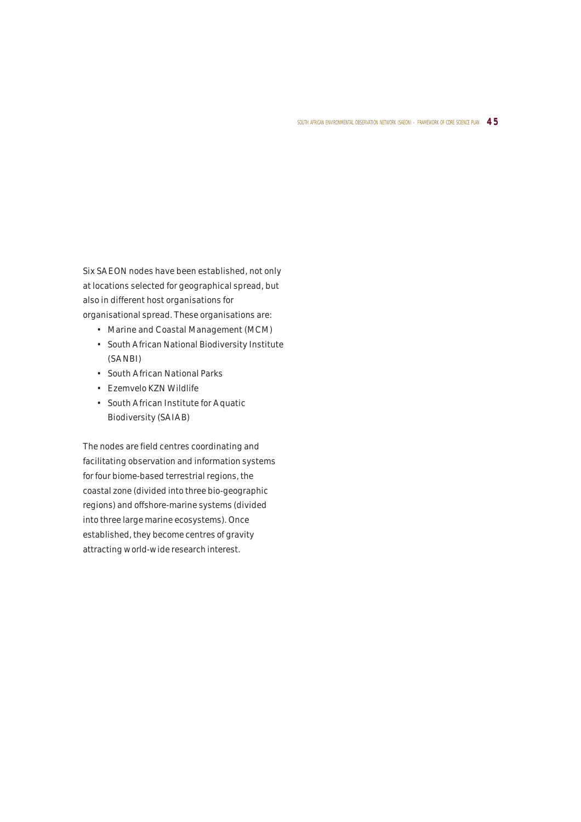Six SAEON nodes have been established, not only at locations selected for geographical spread, but also in different host organisations for organisational spread. These organisations are:

- Marine and Coastal Management (MCM)
- South African National Biodiversity Institute (SANBI)
- South African National Parks
- Ezemvelo KZN Wildlife
- South African Institute for Aquatic Biodiversity (SAIAB)

The nodes are field centres coordinating and facilitating observation and information systems for four biome-based terrestrial regions, the coastal zone (divided into three bio-geographic regions) and offshore-marine systems (divided into three large marine ecosystems). Once established, they become centres of gravity attracting world-wide research interest.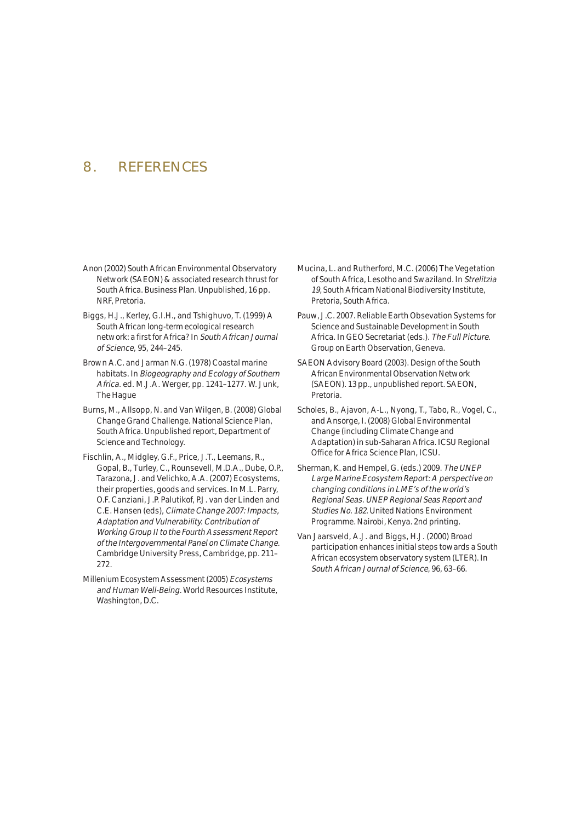# 8. REFERENCES

- Anon (2002) South African Environmental Observatory Network (SAEON) & associated research thrust for South Africa. Business Plan. Unpublished, 16 pp. NRF, Pretoria.
- Biggs, H.J., Kerley, G.I.H., and Tshighuvo, T. (1999) A South African long-term ecological research network: a first for Africa? In South African Journal of Science, 95, 244–245.
- Brown A.C. and Jarman N.G. (1978) Coastal marine habitats. In Biogeography and Ecology of Southern Africa. ed. M.J.A. Werger, pp. 1241–1277. W. Junk, The Hague
- Burns, M., Allsopp, N. and Van Wilgen, B. (2008) Global Change Grand Challenge. National Science Plan, South Africa. Unpublished report, Department of Science and Technology.
- Fischlin, A., Midgley, G.F., Price, J.T., Leemans, R., Gopal, B., Turley, C., Rounsevell, M.D.A., Dube, O.P., Tarazona, J. and Velichko, A.A. (2007) Ecosystems, their properties, goods and services. In M.L. Parry, O.F. Canziani, J.P. Palutikof, P.J. van der Linden and C.E. Hansen (eds), Climate Change 2007: Impacts, Adaptation and Vulnerability. Contribution of Working Group II to the Fourth Assessment Report of the Intergovernmental Panel on Climate Change. Cambridge University Press, Cambridge, pp. 211– 272.
- Millenium Ecosystem Assessment (2005) Ecosystems and Human Well-Being. World Resources Institute, Washington, D.C.
- Mucina, L. and Rutherford, M.C. (2006) The Vegetation of South Africa, Lesotho and Swaziland. In Strelitzia 19, South Africam National Biodiversity Institute, Pretoria, South Africa.
- Pauw, J.C. 2007. Reliable Earth Obsevation Systems for Science and Sustainable Development in South Africa. In GEO Secretariat (eds.). The Full Picture. Group on Earth Observation, Geneva.
- SAEON Advisory Board (2003). Design of the South African Environmental Observation Network (SAEON). 13 pp., unpublished report. SAEON, Pretoria.
- Scholes, B., Ajavon, A-L., Nyong, T., Tabo, R., Vogel, C., and Ansorge, I. (2008) Global Environmental Change (including Climate Change and Adaptation) in sub-Saharan Africa. ICSU Regional Office for Africa Science Plan, ICSU.
- Sherman, K. and Hempel, G. (eds.) 2009. The UNEP Large Marine Ecosystem Report: A perspective on changing conditions in LME's of the world's Regional Seas. UNEP Regional Seas Report and Studies No. 182. United Nations Environment Programme. Nairobi, Kenya. 2nd printing.
- Van Jaarsveld, A.J. and Biggs, H.J. (2000) Broad participation enhances initial steps towards a South African ecosystem observatory system (LTER). In South African Journal of Science, 96, 63–66.